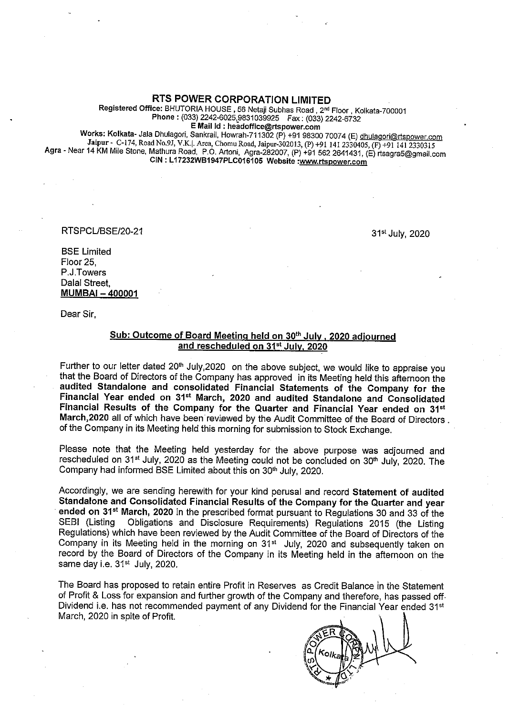RTS POWER CORPORATION LIMITED

Registered Office: BHUTORIA HOUSE, 56 Netaji Subhas Road, 2<sup>nd</sup> Floor, Kolkata-700001 Phone: (033) 2242-6025,9831039925 Fax: (033) 2242-6732

Works: Kolkata- Jala Dhulagori, Sankrail, Howrah-711302 (P) +91 98300 70074 (E) dhulagori@rtspower.com<br>Jaipur - C-174, Road No.9J, V.K. |. Area, Chomu Road, Jaipur-302013, (P) +91 141 2330405, (F) +91 141 2330315<br>Agra - Ne

RTSPCUBSE/20-21

31st July, 2020

BSE Limited Floor 25, P.J.Towers Dalal Street, MUMBAI - 400001

Dear Sir,

#### Sub: Outcome of Board Meeting held on 30<sup>th</sup> July, 2020 adjourned and rescheduled on 31<sup>st</sup> July. 2020

Further to our letter dated 20<sup>th</sup> July,2020 on the above subject, we would like to appraise you that the Board of Directors of the Company has approved in its Meeting held this afternoon the audited Standalone and consolidated Financial Statements of the Company for the Financial Year ended on 31<sup>st</sup> March, 2020 and audited Standalone and Consolidated Financial Results of the Company for the Quarter and Financial Year ended on 31<sup>st</sup> March.2020 all of which have been reviewed by the Audit Committee of the Board of Directors . of the Company in its Meeting held this morning for submission to Stock Exchange.

Please note that the Meeting held yesterday for the above purpose was adjourned and rescheduled on 31st July, 2020 as the Meeting could not be concluded on  $30<sup>th</sup>$  July, 2020. The Company had informed BSE Limited about this on 30<sup>th</sup> July, 2020.

Accordingly, we are sending herewith for your kind perusal and record Statement of audited Standalone and Consolidated Financial Results of the Company for the Quarter and year ended on 31<sup>st</sup> March, 2020 in the prescribed format pursuant to Regulations 30 and 33 of the<br>SEBI (Listing Obligations and Disclosure Regulations) Regulations 2015 (the Listing Obligations and Disclosure Requirements) Regulations 2015 (the Listing Regulations) which have been reviewed by the Audit Committee of the Board of Directors of the Company in its Meeting held in the morning on 31<sup>st</sup> July, 2020 and subsequently taken on record by the Board of Directors of the Company in its Meeting held in the afternoon on the same day i.e. 31<sup>st</sup> July, 2020.

The Board has proposed to retain entire Profit in Reserves as Credit Balance in the Statement of Profit & Loss for expansion and further growth of the Company and therefore, has passed off. Dividend i.e. has not recommended payment of any Dividend for the Financial Year ended 31<sup>st</sup> March, 2020 in spite of Profit.

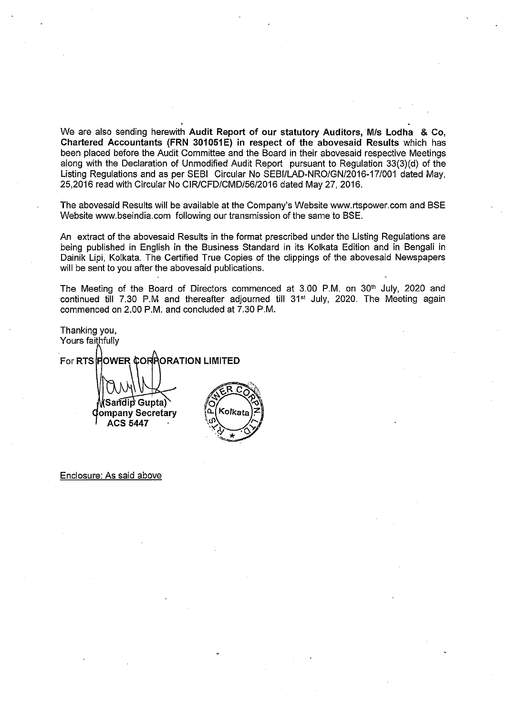We are also sending herewith Audit Report of our statutory Auditors, M/s Lodha & Co, Chartered Accountants (FRN 301051E) in respect of the abovesaid Results which has been placed before the Audit Committee and the Board in their abovesaid respective Meetings along with the Declaration of Unmodified Audit Report pursuant to Regulation 33(3)(d) of the Listing Regulations and as per SEBI Circular No SEBI/LAD-NRO/GN/2016-17/001 dated May, 25,2016 read with Circular No CIR/CFD/CMD/56/2016 dated May 27, 2016.

The abovesaid Results will be available at the Company's Website www.rtspower.com and BSE Website www.bseindia.com following our transmission of the same to BSE.

An extract of the abovesaid Results in the format prescribed under the Listing Regulations are being published in English in the Business Standard in its Kolkata Edition and in Bengali in Dainik Lipi, Kolkata. The Certified True Copies of the clippings of the abovesaid Newspapers will be sent to you after the abovesaid publications.

The Meeting of the Board of Directors commenced at 3.00 P.M. on 30<sup>th</sup> July, 2020 and continued till 7.30 P.M and thereafter adjourned till 31<sup>st</sup> July, 2020. The Meeting again commenced on 2.00 P.M. and concluded at 7.30 P.M.

Thanking you, Yours faithfully For RTS FOWER CORRORATION LIMITED Sandip Gupta) Kolkata ompany Secretary **ACS 5447** 

Enclosure: As said above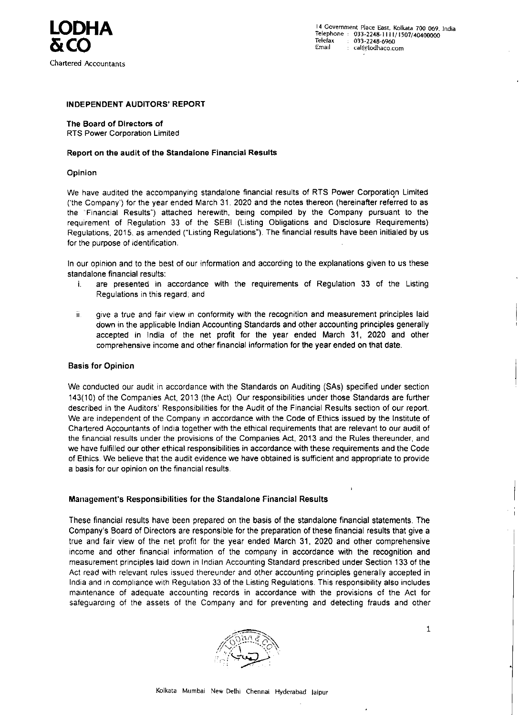# LODHA &CO

Chartered Accountants

### INDEPENDENT AUDITORS' REPORT

The Board of Directors of RTS Power Corporation Limited

<sup>14</sup> Government Place East, Kolkata <sup>700</sup> 069. India Telephone : 033-2248-I <sup>I</sup> <sup>I</sup> I/ 1507/40400000 Telefax 033?2248-6960 Email cal@lodhaco.com

#### Report on the audit of the Standalone Financial Results

#### **Opinion**

•

 $\Delta$ 

In our opinion and to the best of our information and according to the explanations given to us these standalone financial results:

- i. are presented in accordance with the requirements of Regulation 33 of the Listing Regulations in this regard; and
- ii. give a true and fair view in conformity with the recognition and measurement principles laid down in the applicable Indian Accounting Standards and other accounting principles generally accepted in 1ndia of the net profit for the year ended March 31, 2020 and other comprehensive income and other financial information for the year ended on that date.

We have audited the accompanying standalone financial results of RTS Power Corporatiqn Limited ('the Company') for the year ended March 31. 2020 and the notes thereon (hereinafter referred to as the "Financial Results") attached herewith. being compiled by the Company pursuant to the requirement of Regulation 33 of the SEBI (Listing Obligations and Disclosure Requirements) Regulations, 2015, as amended ("Listing Regulations"). The financial results have been initialed by us for the purpose of identification.

#### Basis for Opinion

We conducted our audit in accordance with the Standards on Auditing (SAs) specified under section 143(10) of the Companies Act, 2013 (the Act) Our responsibilities under those Standards are further described in the Auditors' Responsibilities for the Audit of the Financial Results section of our report. We are independent of the Company in accordance with the Code of Ethics issued by the Institute of Chartered Accountants of India together with the ethical requirements that are relevant to our audit of the financial results under the provisions of the Companies Act, 2013 and the Rules thereunder, and we have fulfilled our other ethical responsibilities in accordance with these requirements and the Code of Ethics. We believe that the audit evidence we have obtained is sufficient and appropriate to provide <sup>a</sup> basis for our opinion on the financial results.

I

These financial results have been prepared on the basis of the standalone financial statements. The Ccmpany's Board of Directors are responsible for the preparation of these financial results that give <sup>a</sup> true and fair view of the net profit for the year ended March 31. 2020 and other comprehensive income and other financial information of the company in accordance with the recognition and measurement principles laid down in Indian Accounting Standard prescribed under Section 133 of the Act read with relevant rules issued thereunder and other accounting principles generally accepted in India and in compliance with Regulation 33 of the Listing Regulations. This responsibility also includes maintenance of adequate accounting records in accordance with the provisions of the Act for safeguarding of the assets of the Company and for preventing and detecting frauds and other



1

#### Management's Responsibilities for the Standalone Financial Results

Kolkata Mumbai New Delhi Chennai Hyderabad laipur

'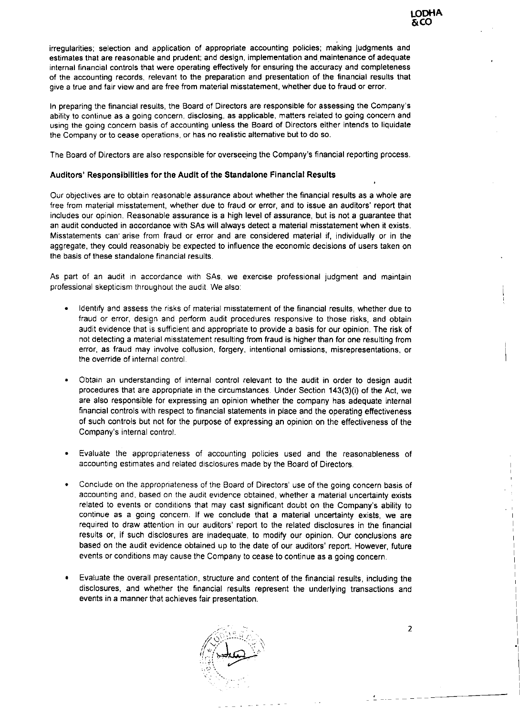irregularities: selection and application of appropriate accounting policies: making judgments and estimates that are reasonable and prudent; and design, implementation and. maintenance of adequate internal financial controls that were operating effectively for ensuring the accuracy and completeness of the accounting records, relevant to the preparation and presentation of the financial results that give <sup>a</sup> true and fair view and are free from material misstatement. whether due to fraud or error.

In preparing the financial results, the Board of Directors are responsible for assessing the Company's ability to continue as <sup>a</sup> going concern, disclosing. as applicable, matters related to going concern and using the going concern basis of accounting unless the Board of Directors either intends to liquidate the Company or to cease operations. or has no realistic alternative but to do so.

Our objectives are to obtain reasonable assurance about whether the financial results as a whole are free from material misstatement, whether due to fraud or error. and to issue an auditors' report that includes our opinion. Reasonable assurance is <sup>a</sup> high level of assurance. but is not <sup>a</sup> guarantee that an audit conducted in accordance with SAs will always detect <sup>a</sup> material misstatement when it exists. Misstatements can· arise from fraud or error and are considered material if, individually or in the aggregate, they could reasonably be expected to influence the economic decisions of users taken on the basis of these standalone financial results.

The Board of Directors are also responsible for overseeing the Company's financial reporting process.

#### Auditors' Responsibilities for the Audit of the Standalone Financial Results

I  $\overline{\phantom{a}}$ 

As part of an audit in accordance with SAs. we exercise professional judgment and maintain professional skepticism throughout the audit. We also:

- Identify and assess the risks of material misstatement of the financial results, whether due to fraud or error, design and perform audit procedures responsive to those risks. and obtain audit evidence that is sufficient and appropriate to provide <sup>a</sup> basis for our opinion. The risk of not detecting <sup>a</sup> material misstatement resulting from fraud is higher than for one resulting from error, as fraud may involve collusion, forgery. intentional omissions, misrepresentations, or the override of internal control.
- Obtain an understanding of internal control relevant to the audit in order to design audit procedures that are appropriate in the circumstances. Under Section 143(3)(i) of the Act. we are also responsible for expressing an opinion whether the company has adequate internal financial controls with respect to financial statements in place and the operating effectiveness of such controls but not for the purpose of expressing an opinion on the effectiveness of the Company's internal control.
- Evaluate the appropriateness of accounting policies used and the reasonableness of accounting estimates and related disclosures made by the Board of Directors.
- Conclude on the appropriateness of the Board of Directors' use of the going concern basts of accounting and. based on the audit evidence obtained. whether <sup>a</sup> material uncertainty exists related to events or conditions that may cast sjgnificant doubt on the Company's ability to continue as <sup>a</sup> going concern. Jf we conclude that <sup>a</sup> material uncertainty exists. we are required to draw attention in our auditors' report to the related disclosures in the financial results or, if such disclosures are inadequate, to modify our opinion. Our conclusions are based on the audit evidence obtained up to the date of our auditors' report. However. future

events or conditions may cause the Company to cease to continue as a going concern.

I

•

i

i

 $\vert$ 

• Evaluate the overall presentation, structure and content of the financial results, including the disclosures. and whether the financial results represent the underlying transactions and events in <sup>a</sup> manner that achieves fair presentation.

2



- - -

-·- - -

I

 $\mathbf{r} = \mathbf{I}$ 

I

I

I

I

I

I

I

I

I

I

I

I

I

I

·1

I

I

j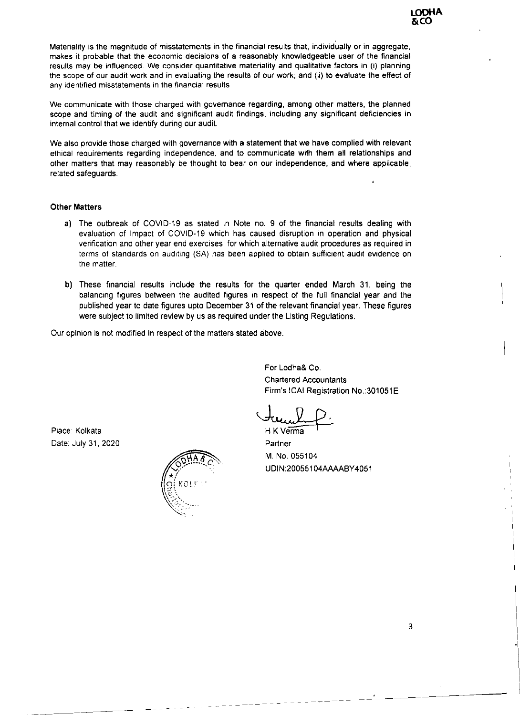•

 $\blacktriangleright$ 

Materiality is the magnitude of misstatements in the financial results that, individually or in aggregate, makes it probable that the economic decisions of a reasonably knowledgeable user of the financial results may be influenced. We consider quantitative materiality and qualitative factors in (i) planning the scope of our audit work and in evaluating the results of our work: and (ii) to evaluate the effect of any identified misstatements in the financial results.

We communicate with those charged with governance regarding, among other matters. the planned scope and timing of the audit and significant audit findings. including any significant deficiencies in internal control that we identify during our audit.

We also provide those charged with governance with <sup>a</sup> statement that we have complied with relevant ethical requirements regarding independence, and to communicate with them all relationships and other matters that may reasonably be thought to bear on our independence, and where applicable, related safeguards.

> For Lodha& Co. Chartered Accountants Firm's ICAI Registration No.:301051E

#### Other Matters

- a) The outbreak of COVID-19 as stated in Note no. 9 of the financial results dealing with evaluation of Impact of COVID-19 which has caused disruption in operation and physical verification and other year end exercises. for which alternative audit procedures as required in terms of standards on auditing (SA) has been applied to obtain sufficient audit evidence on the matter.
- b) These financial results include the results for the quarter ended March 31, being the balancing figures between the audited figures in respect of the full financial year and the published year to date figures upto December 31 of the relevant financial year. These figures were subject to limited review by us as required under the Listing Regulations.

Our opinion is not modified in respect of the matters stated above.

•

•

M. No. 055104 UDlN:20055104AAAABY 4051

Place: Kolkata Date: Juty 31 , 2020

HK Verma f

**Partner** 



I

I

I

I

I

 $\overline{ }$ 

 $\overline{\phantom{a}}$ 

 $\overline{\phantom{a}}$ 

 $\overline{\phantom{a}}$ 

 $\overline{\phantom{a}}$ 

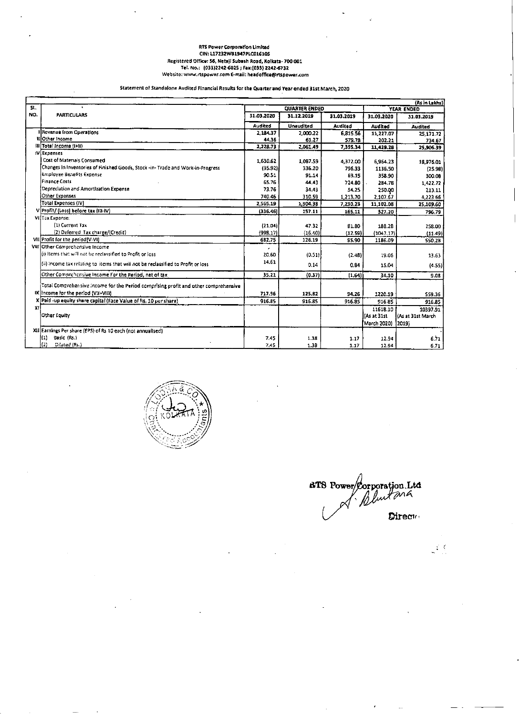#### RTS Power Corporation Limited CIN: L17232W81947PLC016105 Registered Office: 56, Netajl Subash Road, Kolkata- 700 001 Tel. No.: (033)2242-6025 ; Fax:(033) 2242-6732 Website: www.rtspower.com E-mail: headoffice@rtspower.com

#### Statement of Standalone Audited Financial Results for the Quarter and Year ended 31st March, 2020

| <b>QUARTER ENDED</b><br>YEAR ENDED<br>NO.<br><b>PARTICULARS</b><br>31.03.2020<br>31.12.2019<br>31.03.2019<br>31.03.2020<br>31.03.2019<br><b>Audited</b><br><b>Unaudited</b><br><b>Audited</b><br>Audited<br>Audited<br>I Revenue from Operations<br>2,184.37<br>2,000.22<br>6,815.56<br>11,227.07<br><b>IHOther Income</b><br>44,36<br>61.27<br>579.78<br>202.21<br>$   $ Total Income $  +  $<br>2,228.73<br>2,061.49<br>7,395.34<br>11,429.28<br>(V) Expenses<br>Cost of Materials Consumed<br>1,630.62<br>1,087.59<br>4,372.00<br>6,964.23<br>Changes in Inventories of Finished Goods, Stock -in- Trade and Work-in-Progress<br>(35.92)<br>336.20<br>796.33<br>1136.50<br><b>Employee Benefits Expense</b><br>90.51<br>91.14<br>59.15<br>358.90<br>300.08<br>Finance Costs<br>65.76<br>44,43<br>724.80<br>284.78<br>1,422.72<br>Depreciation and Amortization Expense<br>73.76<br>34.43<br>54.25<br>250.00.<br>213.11<br>Other Expenses<br>740.46<br>310.59<br>1,213,70<br>2,107.67<br>4,223 66<br>Total Expenses (IV)  <br>2,565.19<br>1,904.38<br>7,230.23<br>11,102.08<br>25,109.60  <br>V Profit/ (Loss) before tax (III-IV)<br>(336.46)<br>157.11<br>165.11<br>327.20<br>VI (Tax Expense:<br>(1) Current Tax<br>(21.04)<br>47.32<br>81.BO<br>188.28<br>(2) Deferred Tax charge/(Credit)<br>(998.17)<br>(16.40)<br>(12.59)<br>(1047.17)<br>(11.49)<br>VII) $Proofit$ for the period(V-VI)<br>682.75<br>126.19<br>95,90<br>1186.09<br>VIII Other Comprehensive Income<br>$\left \left\langle i\right\rangle\right $ items that will not be reclassified to Profit or loss.<br>20.60<br>(0.51)<br>(2.48)<br>19.06<br>14.61<br>[{ii) Income tax relating to literns that will not be reclassified to Profit or loss.<br>0.14<br>0.84<br>15.04<br>Other Comprehensive Income For the Period, net of tax<br>35.21<br>(0.37)<br>(1.64)<br>34.10<br>Total Comprehensive income for the Period comprising profit and other comprehensive<br>IX lincome for the period (VII+VIII)<br>717.96<br>125.82<br>94.26<br>1220.19<br>559.36<br>X Paid-up equity share capital (Face Value of Rs. 10 per share)<br>916.85<br>916.85<br>916.85<br>916.85<br>916.85<br>XI.<br>11618.10<br>10397.91<br>Other Equity<br>[As at 31st<br>KAs at 31st March<br>March 2020)<br> 2019}<br>XII Earnings Per share (EPS) of Rs 10 each (not annualised)<br>$\mathbf{I}(1)$<br>Basic (Rs.)<br>7.45<br>1.38<br>6.71<br>1.17<br>12.94<br>}(2)<br>Diluted (Rs.)<br>7.45<br>1.38<br>1.17<br>12.94 |     |  |  | (Rs in Lakhs) |
|-------------------------------------------------------------------------------------------------------------------------------------------------------------------------------------------------------------------------------------------------------------------------------------------------------------------------------------------------------------------------------------------------------------------------------------------------------------------------------------------------------------------------------------------------------------------------------------------------------------------------------------------------------------------------------------------------------------------------------------------------------------------------------------------------------------------------------------------------------------------------------------------------------------------------------------------------------------------------------------------------------------------------------------------------------------------------------------------------------------------------------------------------------------------------------------------------------------------------------------------------------------------------------------------------------------------------------------------------------------------------------------------------------------------------------------------------------------------------------------------------------------------------------------------------------------------------------------------------------------------------------------------------------------------------------------------------------------------------------------------------------------------------------------------------------------------------------------------------------------------------------------------------------------------------------------------------------------------------------------------------------------------------------------------------------------------------------------------------------------------------------------------------------------------------------------------------------------------------------------------------------------------------------------------------------------------------------------------------------------------------------------------------------------------------------------------------------------------------|-----|--|--|---------------|
|                                                                                                                                                                                                                                                                                                                                                                                                                                                                                                                                                                                                                                                                                                                                                                                                                                                                                                                                                                                                                                                                                                                                                                                                                                                                                                                                                                                                                                                                                                                                                                                                                                                                                                                                                                                                                                                                                                                                                                                                                                                                                                                                                                                                                                                                                                                                                                                                                                                                         | SL. |  |  |               |
|                                                                                                                                                                                                                                                                                                                                                                                                                                                                                                                                                                                                                                                                                                                                                                                                                                                                                                                                                                                                                                                                                                                                                                                                                                                                                                                                                                                                                                                                                                                                                                                                                                                                                                                                                                                                                                                                                                                                                                                                                                                                                                                                                                                                                                                                                                                                                                                                                                                                         |     |  |  |               |
|                                                                                                                                                                                                                                                                                                                                                                                                                                                                                                                                                                                                                                                                                                                                                                                                                                                                                                                                                                                                                                                                                                                                                                                                                                                                                                                                                                                                                                                                                                                                                                                                                                                                                                                                                                                                                                                                                                                                                                                                                                                                                                                                                                                                                                                                                                                                                                                                                                                                         |     |  |  |               |
|                                                                                                                                                                                                                                                                                                                                                                                                                                                                                                                                                                                                                                                                                                                                                                                                                                                                                                                                                                                                                                                                                                                                                                                                                                                                                                                                                                                                                                                                                                                                                                                                                                                                                                                                                                                                                                                                                                                                                                                                                                                                                                                                                                                                                                                                                                                                                                                                                                                                         |     |  |  | 25,171.72     |
|                                                                                                                                                                                                                                                                                                                                                                                                                                                                                                                                                                                                                                                                                                                                                                                                                                                                                                                                                                                                                                                                                                                                                                                                                                                                                                                                                                                                                                                                                                                                                                                                                                                                                                                                                                                                                                                                                                                                                                                                                                                                                                                                                                                                                                                                                                                                                                                                                                                                         |     |  |  | 734.67        |
|                                                                                                                                                                                                                                                                                                                                                                                                                                                                                                                                                                                                                                                                                                                                                                                                                                                                                                                                                                                                                                                                                                                                                                                                                                                                                                                                                                                                                                                                                                                                                                                                                                                                                                                                                                                                                                                                                                                                                                                                                                                                                                                                                                                                                                                                                                                                                                                                                                                                         |     |  |  | 25,906.39     |
|                                                                                                                                                                                                                                                                                                                                                                                                                                                                                                                                                                                                                                                                                                                                                                                                                                                                                                                                                                                                                                                                                                                                                                                                                                                                                                                                                                                                                                                                                                                                                                                                                                                                                                                                                                                                                                                                                                                                                                                                                                                                                                                                                                                                                                                                                                                                                                                                                                                                         |     |  |  |               |
|                                                                                                                                                                                                                                                                                                                                                                                                                                                                                                                                                                                                                                                                                                                                                                                                                                                                                                                                                                                                                                                                                                                                                                                                                                                                                                                                                                                                                                                                                                                                                                                                                                                                                                                                                                                                                                                                                                                                                                                                                                                                                                                                                                                                                                                                                                                                                                                                                                                                         |     |  |  | 18,976.01     |
|                                                                                                                                                                                                                                                                                                                                                                                                                                                                                                                                                                                                                                                                                                                                                                                                                                                                                                                                                                                                                                                                                                                                                                                                                                                                                                                                                                                                                                                                                                                                                                                                                                                                                                                                                                                                                                                                                                                                                                                                                                                                                                                                                                                                                                                                                                                                                                                                                                                                         |     |  |  | (25.98)       |
|                                                                                                                                                                                                                                                                                                                                                                                                                                                                                                                                                                                                                                                                                                                                                                                                                                                                                                                                                                                                                                                                                                                                                                                                                                                                                                                                                                                                                                                                                                                                                                                                                                                                                                                                                                                                                                                                                                                                                                                                                                                                                                                                                                                                                                                                                                                                                                                                                                                                         |     |  |  |               |
|                                                                                                                                                                                                                                                                                                                                                                                                                                                                                                                                                                                                                                                                                                                                                                                                                                                                                                                                                                                                                                                                                                                                                                                                                                                                                                                                                                                                                                                                                                                                                                                                                                                                                                                                                                                                                                                                                                                                                                                                                                                                                                                                                                                                                                                                                                                                                                                                                                                                         |     |  |  |               |
|                                                                                                                                                                                                                                                                                                                                                                                                                                                                                                                                                                                                                                                                                                                                                                                                                                                                                                                                                                                                                                                                                                                                                                                                                                                                                                                                                                                                                                                                                                                                                                                                                                                                                                                                                                                                                                                                                                                                                                                                                                                                                                                                                                                                                                                                                                                                                                                                                                                                         |     |  |  |               |
|                                                                                                                                                                                                                                                                                                                                                                                                                                                                                                                                                                                                                                                                                                                                                                                                                                                                                                                                                                                                                                                                                                                                                                                                                                                                                                                                                                                                                                                                                                                                                                                                                                                                                                                                                                                                                                                                                                                                                                                                                                                                                                                                                                                                                                                                                                                                                                                                                                                                         |     |  |  |               |
|                                                                                                                                                                                                                                                                                                                                                                                                                                                                                                                                                                                                                                                                                                                                                                                                                                                                                                                                                                                                                                                                                                                                                                                                                                                                                                                                                                                                                                                                                                                                                                                                                                                                                                                                                                                                                                                                                                                                                                                                                                                                                                                                                                                                                                                                                                                                                                                                                                                                         |     |  |  |               |
|                                                                                                                                                                                                                                                                                                                                                                                                                                                                                                                                                                                                                                                                                                                                                                                                                                                                                                                                                                                                                                                                                                                                                                                                                                                                                                                                                                                                                                                                                                                                                                                                                                                                                                                                                                                                                                                                                                                                                                                                                                                                                                                                                                                                                                                                                                                                                                                                                                                                         |     |  |  | 796.79        |
|                                                                                                                                                                                                                                                                                                                                                                                                                                                                                                                                                                                                                                                                                                                                                                                                                                                                                                                                                                                                                                                                                                                                                                                                                                                                                                                                                                                                                                                                                                                                                                                                                                                                                                                                                                                                                                                                                                                                                                                                                                                                                                                                                                                                                                                                                                                                                                                                                                                                         |     |  |  |               |
|                                                                                                                                                                                                                                                                                                                                                                                                                                                                                                                                                                                                                                                                                                                                                                                                                                                                                                                                                                                                                                                                                                                                                                                                                                                                                                                                                                                                                                                                                                                                                                                                                                                                                                                                                                                                                                                                                                                                                                                                                                                                                                                                                                                                                                                                                                                                                                                                                                                                         |     |  |  | 258.00        |
|                                                                                                                                                                                                                                                                                                                                                                                                                                                                                                                                                                                                                                                                                                                                                                                                                                                                                                                                                                                                                                                                                                                                                                                                                                                                                                                                                                                                                                                                                                                                                                                                                                                                                                                                                                                                                                                                                                                                                                                                                                                                                                                                                                                                                                                                                                                                                                                                                                                                         |     |  |  |               |
|                                                                                                                                                                                                                                                                                                                                                                                                                                                                                                                                                                                                                                                                                                                                                                                                                                                                                                                                                                                                                                                                                                                                                                                                                                                                                                                                                                                                                                                                                                                                                                                                                                                                                                                                                                                                                                                                                                                                                                                                                                                                                                                                                                                                                                                                                                                                                                                                                                                                         |     |  |  | 550.28        |
|                                                                                                                                                                                                                                                                                                                                                                                                                                                                                                                                                                                                                                                                                                                                                                                                                                                                                                                                                                                                                                                                                                                                                                                                                                                                                                                                                                                                                                                                                                                                                                                                                                                                                                                                                                                                                                                                                                                                                                                                                                                                                                                                                                                                                                                                                                                                                                                                                                                                         |     |  |  |               |
|                                                                                                                                                                                                                                                                                                                                                                                                                                                                                                                                                                                                                                                                                                                                                                                                                                                                                                                                                                                                                                                                                                                                                                                                                                                                                                                                                                                                                                                                                                                                                                                                                                                                                                                                                                                                                                                                                                                                                                                                                                                                                                                                                                                                                                                                                                                                                                                                                                                                         |     |  |  | 13.63         |
|                                                                                                                                                                                                                                                                                                                                                                                                                                                                                                                                                                                                                                                                                                                                                                                                                                                                                                                                                                                                                                                                                                                                                                                                                                                                                                                                                                                                                                                                                                                                                                                                                                                                                                                                                                                                                                                                                                                                                                                                                                                                                                                                                                                                                                                                                                                                                                                                                                                                         |     |  |  |               |
|                                                                                                                                                                                                                                                                                                                                                                                                                                                                                                                                                                                                                                                                                                                                                                                                                                                                                                                                                                                                                                                                                                                                                                                                                                                                                                                                                                                                                                                                                                                                                                                                                                                                                                                                                                                                                                                                                                                                                                                                                                                                                                                                                                                                                                                                                                                                                                                                                                                                         |     |  |  | (4.55)        |
|                                                                                                                                                                                                                                                                                                                                                                                                                                                                                                                                                                                                                                                                                                                                                                                                                                                                                                                                                                                                                                                                                                                                                                                                                                                                                                                                                                                                                                                                                                                                                                                                                                                                                                                                                                                                                                                                                                                                                                                                                                                                                                                                                                                                                                                                                                                                                                                                                                                                         |     |  |  | 9.08          |
|                                                                                                                                                                                                                                                                                                                                                                                                                                                                                                                                                                                                                                                                                                                                                                                                                                                                                                                                                                                                                                                                                                                                                                                                                                                                                                                                                                                                                                                                                                                                                                                                                                                                                                                                                                                                                                                                                                                                                                                                                                                                                                                                                                                                                                                                                                                                                                                                                                                                         |     |  |  |               |
|                                                                                                                                                                                                                                                                                                                                                                                                                                                                                                                                                                                                                                                                                                                                                                                                                                                                                                                                                                                                                                                                                                                                                                                                                                                                                                                                                                                                                                                                                                                                                                                                                                                                                                                                                                                                                                                                                                                                                                                                                                                                                                                                                                                                                                                                                                                                                                                                                                                                         |     |  |  |               |
|                                                                                                                                                                                                                                                                                                                                                                                                                                                                                                                                                                                                                                                                                                                                                                                                                                                                                                                                                                                                                                                                                                                                                                                                                                                                                                                                                                                                                                                                                                                                                                                                                                                                                                                                                                                                                                                                                                                                                                                                                                                                                                                                                                                                                                                                                                                                                                                                                                                                         |     |  |  |               |
|                                                                                                                                                                                                                                                                                                                                                                                                                                                                                                                                                                                                                                                                                                                                                                                                                                                                                                                                                                                                                                                                                                                                                                                                                                                                                                                                                                                                                                                                                                                                                                                                                                                                                                                                                                                                                                                                                                                                                                                                                                                                                                                                                                                                                                                                                                                                                                                                                                                                         |     |  |  |               |
|                                                                                                                                                                                                                                                                                                                                                                                                                                                                                                                                                                                                                                                                                                                                                                                                                                                                                                                                                                                                                                                                                                                                                                                                                                                                                                                                                                                                                                                                                                                                                                                                                                                                                                                                                                                                                                                                                                                                                                                                                                                                                                                                                                                                                                                                                                                                                                                                                                                                         |     |  |  |               |
|                                                                                                                                                                                                                                                                                                                                                                                                                                                                                                                                                                                                                                                                                                                                                                                                                                                                                                                                                                                                                                                                                                                                                                                                                                                                                                                                                                                                                                                                                                                                                                                                                                                                                                                                                                                                                                                                                                                                                                                                                                                                                                                                                                                                                                                                                                                                                                                                                                                                         |     |  |  |               |
|                                                                                                                                                                                                                                                                                                                                                                                                                                                                                                                                                                                                                                                                                                                                                                                                                                                                                                                                                                                                                                                                                                                                                                                                                                                                                                                                                                                                                                                                                                                                                                                                                                                                                                                                                                                                                                                                                                                                                                                                                                                                                                                                                                                                                                                                                                                                                                                                                                                                         |     |  |  |               |
|                                                                                                                                                                                                                                                                                                                                                                                                                                                                                                                                                                                                                                                                                                                                                                                                                                                                                                                                                                                                                                                                                                                                                                                                                                                                                                                                                                                                                                                                                                                                                                                                                                                                                                                                                                                                                                                                                                                                                                                                                                                                                                                                                                                                                                                                                                                                                                                                                                                                         |     |  |  |               |
|                                                                                                                                                                                                                                                                                                                                                                                                                                                                                                                                                                                                                                                                                                                                                                                                                                                                                                                                                                                                                                                                                                                                                                                                                                                                                                                                                                                                                                                                                                                                                                                                                                                                                                                                                                                                                                                                                                                                                                                                                                                                                                                                                                                                                                                                                                                                                                                                                                                                         |     |  |  | $6.71$ 1      |



**BTS Power Corporation. Ltd**<br> *A Duntana* 

 $\sim$ 

 $\mathcal{F}(\mathcal{F})$  and the set of the set of  $\mathcal{F}(\mathcal{F})$  . The set of the set of the set of the set of the set of the set of the set of the set of the set of the set of the set of the set of the set of the set of the set o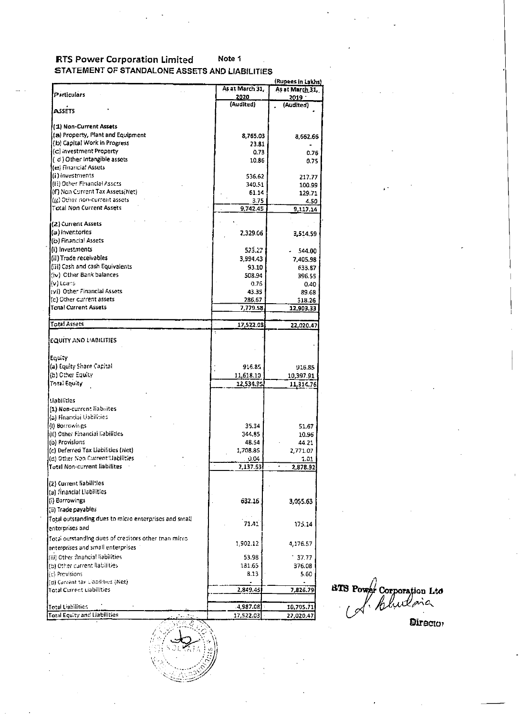#### **RTS Power Corporation Limited** Note 1 STATEMENT OF STANDALONE ASSETS AND LIABILITIES

|                                                         |                      | (Rupees in Lakhs) |                                  |
|---------------------------------------------------------|----------------------|-------------------|----------------------------------|
|                                                         | As at March 31,      | As at March 31,   |                                  |
| Particulars                                             | 2020                 | <u> 2019 - </u>   |                                  |
| <b>ASSETS</b>                                           | (Audited)            | (Audited)         |                                  |
|                                                         |                      |                   |                                  |
| (1) Non-Current Assets                                  |                      |                   |                                  |
| (a) Property, Plant and Equipment                       |                      |                   |                                  |
| (b) Capital Work in Progress                            | 8,765.03             | 8,662.66          |                                  |
| $(c)$ investment Property                               | 23.81                | $\blacksquare$    |                                  |
| (d) Other Intangible assets                             | 0.73                 | 0.76              |                                  |
| (e) Financial Assets                                    | 10.86                | 0.75              |                                  |
|                                                         |                      |                   |                                  |
| (i) investments                                         | 536.62               | 217.77            |                                  |
| ((ii) Other Financial Assets.                           | 340.51               | 100.99            | $\mathcal{A}^{\mathcal{A}}$ .    |
| (if) Non Current Tax Assets(Net)                        | 61.14                | 129.71            |                                  |
| (g) Other non-current assets                            | 3.75                 | 4.50              |                                  |
| <b>Total Non Current Assets</b>                         | 9,742.45             | 9,117.14          |                                  |
|                                                         | $\mathbf{r}$         |                   |                                  |
| (2) Current Assets                                      |                      |                   |                                  |
| (a) inventories                                         | 2,329.06             | 3,514.59          |                                  |
| (b) Financial Assets                                    |                      |                   |                                  |
| (i) Investments                                         | 523.27               | $-544.00$         |                                  |
| (ii) Trade receivables                                  | 3,994.43             | 7,405.98          |                                  |
| [(iii) Cash and cash Equivalents                        | 93.10                | 633.87            |                                  |
| (iv) Other Bank balances                                | 508.94               | 396.55            |                                  |
| ](v) Loans.                                             | 0.76                 | 0.40              |                                  |
| (vi) Other Financial Assets                             | 43.35                | 89.68             |                                  |
| (c) Other current assets                                | 286.67               |                   |                                  |
| <b>Total Current Assets</b>                             | 7,779.58             | 518.26            |                                  |
|                                                         |                      | 12,903.33         |                                  |
| Total Assets                                            | 17,522.03            |                   |                                  |
|                                                         |                      | 22,020.47         |                                  |
| EQUITY AND L'ABILITIES                                  |                      |                   |                                  |
|                                                         |                      |                   |                                  |
|                                                         |                      |                   |                                  |
| ∫Equity                                                 |                      |                   |                                  |
| (a) Equity Share Capital                                | 916.85               | 916.85            |                                  |
| (b) Other Equity                                        | 11,618.10            | 10,397.91         |                                  |
| Total Equity                                            | 12,534.35            | 11,314.76         |                                  |
|                                                         |                      |                   |                                  |
| Liabilities                                             |                      |                   |                                  |
| (1) Non-current liabrites                               |                      |                   |                                  |
| (a) Financiai Usbilities                                |                      |                   |                                  |
| $(0)$ Borrowings                                        | 35.34                | 51.67             |                                  |
| (ii) Other Financial Labilities                         |                      |                   |                                  |
|                                                         | 344,85               | 10.96             |                                  |
| (b) Provisions.                                         | 48.54                | 44.21             |                                  |
| (c) Deferred Tax Liabilities (Net)                      | 1,708.85             | 2,771.07          |                                  |
| (d) Other Non Current Habilities                        | 0.04                 | 3.01              |                                  |
| Total Non-current liabilites                            | 2,137.53             | 2,878.92          |                                  |
|                                                         |                      |                   |                                  |
| (2) Current liabilities                                 |                      |                   |                                  |
| (a) Financial Liabilities                               |                      |                   |                                  |
| $(i)$ Borrowings                                        | 632.16               | 3,055.63          |                                  |
| (ii) Trade payables                                     |                      |                   |                                  |
| [Total outstanding dues to micro enterprises and small] | $\sim$ $\sim$ $\sim$ |                   |                                  |
|                                                         | 71.41                | 175.14            |                                  |
| enterprises and                                         |                      |                   |                                  |
| Total outstanding dues of creditors other than micro-   |                      |                   |                                  |
| enterprises and small enterprises                       | 1,902.12             | 4,176.57          |                                  |
| (iii) Other financial liabilities                       | 53.98                | $-37.77$          |                                  |
| (b) Other current liabilities.                          | 181.65               | 376.08            |                                  |
| (c) Previsions                                          | 8.13                 | 5.60              |                                  |
| (d) Current tax Cabilities (Net)                        |                      |                   |                                  |
| Total Current Liabilities                               | 2,849.45             | 7,826.79          |                                  |
|                                                         |                      |                   | <b>ETS Power Corporation Ltd</b> |
|                                                         |                      |                   | of Bludoia                       |
| Total Liabilities                                       | $-4,987.08$          | 10,705.71         |                                  |
| Total Equity and Liabilities                            | 17,522.03            | 22,020.47         |                                  |
|                                                         |                      |                   | Director                         |
|                                                         |                      |                   |                                  |
|                                                         |                      |                   |                                  |
|                                                         |                      |                   |                                  |
|                                                         |                      |                   |                                  |
|                                                         |                      |                   |                                  |
|                                                         |                      |                   |                                  |
|                                                         |                      |                   |                                  |

 $\mathcal{L}(\mathcal{L}(\mathcal{L}(\mathcal{L}(\mathcal{L}(\mathcal{L}(\mathcal{L}(\mathcal{L}(\mathcal{L}(\mathcal{L}(\mathcal{L}(\mathcal{L}(\mathcal{L}(\mathcal{L}(\mathcal{L}(\mathcal{L}(\mathcal{L}(\mathcal{L}(\mathcal{L}(\mathcal{L}(\mathcal{L}(\mathcal{L}(\mathcal{L}(\mathcal{L}(\mathcal{L}(\mathcal{L}(\mathcal{L}(\mathcal{L}(\mathcal{L}(\mathcal{L}(\mathcal{L}(\mathcal{L}(\mathcal{L}(\mathcal{L}(\mathcal{L}(\mathcal{L}(\mathcal{$ 

 $\mathcal{L}(\mathcal{L}(\mathcal{L}(\mathcal{L}(\mathcal{L}(\mathcal{L}(\mathcal{L}(\mathcal{L}(\mathcal{L}(\mathcal{L}(\mathcal{L}(\mathcal{L}(\mathcal{L}(\mathcal{L}(\mathcal{L}(\mathcal{L}(\mathcal{L}(\mathcal{L}(\mathcal{L}(\mathcal{L}(\mathcal{L}(\mathcal{L}(\mathcal{L}(\mathcal{L}(\mathcal{L}(\mathcal{L}(\mathcal{L}(\mathcal{L}(\mathcal{L}(\mathcal{L}(\mathcal{L}(\mathcal{L}(\mathcal{L}(\mathcal{L}(\mathcal{L}(\mathcal{L}(\mathcal{$ 

 $\mathcal{A}(\mathcal{A})$ 

 $\sim 10^5$ 

**Contract** 

 $\mathcal{A}(\mathcal{A})$  .

**Contractor**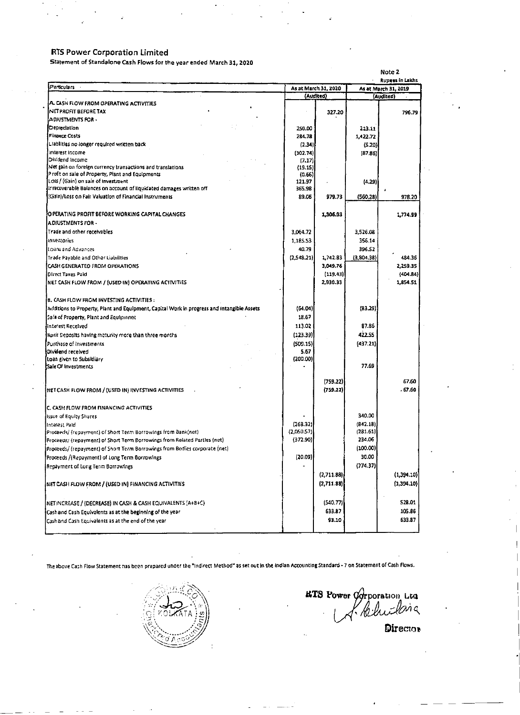## **RTS Power Corporation Limited**

 $\mathcal{L}_{\mathcal{C}}$ 

Statement of Standalone Cash Flows for the year ended March 31, 2020

 $\sim$ 

 $\vec{\bullet}$ 

٠

 $\bullet$  . <br> <br> <br> <br> <br> <br> <br> <br> <br> <br><br><br>

**Contract Contract** 

 $\sigma_{\rm{max}}$ 

 $\frac{1}{2} \sum_{i=1}^n \frac{1}{2} \sum_{j=1}^n \frac{1}{2} \sum_{j=1}^n \frac{1}{2} \sum_{j=1}^n \frac{1}{2} \sum_{j=1}^n \frac{1}{2} \sum_{j=1}^n \frac{1}{2} \sum_{j=1}^n \frac{1}{2} \sum_{j=1}^n \frac{1}{2} \sum_{j=1}^n \frac{1}{2} \sum_{j=1}^n \frac{1}{2} \sum_{j=1}^n \frac{1}{2} \sum_{j=1}^n \frac{1}{2} \sum_{j=1}^n \frac{1}{2} \sum_{j=$ 

 $\mathcal{L}^{\text{c}}$ 

 $\sim 10$ 

 $\frac{1}{2}$ 

 $\epsilon$ 

| Particulars<br>A. CASH FLOW FROM OPERATING ACTIVITIES<br>INET PROFIT BEFORE TAX<br>ADJUSTMENTS FOR -<br><b>[Depreclation</b><br><b>Finance Costs</b><br>Liabilities no longer required written back<br>Interest Income<br>Dividend Income                                                                            | 250.00<br>284.78<br>(2.34)<br>(102.74)<br>(7.17)<br>(19.15)<br>(0.66)<br>121.97<br>365.98<br>89.06<br>3,064.72<br>1,185.53<br>40.79<br>(2,548.21) | As at March 31, 2020<br>(Audited)<br>327.20<br>979.73<br>1,306.93<br>1,742.83<br>3,049.76<br>(119.43)<br>2,930.33 | 213.11<br>1,422.72<br>(5.20)<br>(87.86)<br>(4.29)<br>(560.28)<br>3,526.08<br>356.14<br>396.52<br>(3,804.38) | <b>Rupees in Lakhs</b><br>As at March 31, 2019<br>(Audited)<br>796.79<br>978.20<br>1,774.99<br>484.36<br>2,259.35 |
|----------------------------------------------------------------------------------------------------------------------------------------------------------------------------------------------------------------------------------------------------------------------------------------------------------------------|---------------------------------------------------------------------------------------------------------------------------------------------------|-------------------------------------------------------------------------------------------------------------------|-------------------------------------------------------------------------------------------------------------|-------------------------------------------------------------------------------------------------------------------|
|                                                                                                                                                                                                                                                                                                                      |                                                                                                                                                   |                                                                                                                   |                                                                                                             |                                                                                                                   |
|                                                                                                                                                                                                                                                                                                                      |                                                                                                                                                   |                                                                                                                   |                                                                                                             |                                                                                                                   |
|                                                                                                                                                                                                                                                                                                                      |                                                                                                                                                   |                                                                                                                   |                                                                                                             |                                                                                                                   |
|                                                                                                                                                                                                                                                                                                                      |                                                                                                                                                   |                                                                                                                   |                                                                                                             |                                                                                                                   |
|                                                                                                                                                                                                                                                                                                                      |                                                                                                                                                   |                                                                                                                   |                                                                                                             |                                                                                                                   |
|                                                                                                                                                                                                                                                                                                                      |                                                                                                                                                   |                                                                                                                   |                                                                                                             |                                                                                                                   |
|                                                                                                                                                                                                                                                                                                                      |                                                                                                                                                   |                                                                                                                   |                                                                                                             |                                                                                                                   |
|                                                                                                                                                                                                                                                                                                                      |                                                                                                                                                   |                                                                                                                   |                                                                                                             |                                                                                                                   |
|                                                                                                                                                                                                                                                                                                                      |                                                                                                                                                   |                                                                                                                   |                                                                                                             |                                                                                                                   |
| Net gain on foreign currency transactions and translations.                                                                                                                                                                                                                                                          |                                                                                                                                                   |                                                                                                                   |                                                                                                             |                                                                                                                   |
| P rofit on sale of Property, Plant and Equipments<br>[LOSS / (Gain) on sale of investment                                                                                                                                                                                                                            |                                                                                                                                                   |                                                                                                                   |                                                                                                             |                                                                                                                   |
| If recoverable Balances on account of liquidated damages written off<br>(Gain)/Loss on Fair Valuation of Financial Instruments<br>JO PERATING PROFIT BEFORE WORKING CAPITAL CHANGES                                                                                                                                  |                                                                                                                                                   |                                                                                                                   |                                                                                                             |                                                                                                                   |
|                                                                                                                                                                                                                                                                                                                      |                                                                                                                                                   |                                                                                                                   |                                                                                                             |                                                                                                                   |
|                                                                                                                                                                                                                                                                                                                      |                                                                                                                                                   |                                                                                                                   |                                                                                                             |                                                                                                                   |
|                                                                                                                                                                                                                                                                                                                      |                                                                                                                                                   |                                                                                                                   |                                                                                                             |                                                                                                                   |
| IA DIUSTMENTS FOR -<br>ITrade and other receivables.<br><b>inventories</b><br>Itioans and Advances.<br>Trade Payable and Other Liabilities<br>CASH GENERATED FROM OPERATIONS<br><b>IDIrect Taxes Paid</b><br>INET CASH FLOW FROM / (USED IN) OPERATING ACTIVITIES<br><b>[B. CASH FLOW FROM INVESTING ACTIVITIES:</b> |                                                                                                                                                   |                                                                                                                   |                                                                                                             |                                                                                                                   |
|                                                                                                                                                                                                                                                                                                                      |                                                                                                                                                   |                                                                                                                   |                                                                                                             |                                                                                                                   |
|                                                                                                                                                                                                                                                                                                                      |                                                                                                                                                   |                                                                                                                   |                                                                                                             |                                                                                                                   |
|                                                                                                                                                                                                                                                                                                                      |                                                                                                                                                   |                                                                                                                   |                                                                                                             |                                                                                                                   |
|                                                                                                                                                                                                                                                                                                                      |                                                                                                                                                   |                                                                                                                   |                                                                                                             |                                                                                                                   |
|                                                                                                                                                                                                                                                                                                                      |                                                                                                                                                   |                                                                                                                   |                                                                                                             |                                                                                                                   |
|                                                                                                                                                                                                                                                                                                                      |                                                                                                                                                   |                                                                                                                   |                                                                                                             |                                                                                                                   |
|                                                                                                                                                                                                                                                                                                                      |                                                                                                                                                   |                                                                                                                   |                                                                                                             |                                                                                                                   |
|                                                                                                                                                                                                                                                                                                                      |                                                                                                                                                   |                                                                                                                   |                                                                                                             | (404.84)                                                                                                          |
|                                                                                                                                                                                                                                                                                                                      |                                                                                                                                                   |                                                                                                                   |                                                                                                             | 1,854.51                                                                                                          |
| Additions to Property, Plant and Equipment, Capital Work in progress and Intangible Assets<br>Sale of Property, Plant and Equipmnet<br>ilnterest Received<br>Bank Deposits having meturity more than three months.<br>Purthase of Investments<br>Dividend received<br>Loan given to Subsidiary                       |                                                                                                                                                   |                                                                                                                   |                                                                                                             |                                                                                                                   |
|                                                                                                                                                                                                                                                                                                                      | (64.04)                                                                                                                                           |                                                                                                                   | (83.29)                                                                                                     |                                                                                                                   |
|                                                                                                                                                                                                                                                                                                                      | 18.67                                                                                                                                             |                                                                                                                   |                                                                                                             |                                                                                                                   |
|                                                                                                                                                                                                                                                                                                                      | 113.02                                                                                                                                            |                                                                                                                   | 87.86                                                                                                       |                                                                                                                   |
|                                                                                                                                                                                                                                                                                                                      | (123.39)                                                                                                                                          |                                                                                                                   | 422.55                                                                                                      |                                                                                                                   |
|                                                                                                                                                                                                                                                                                                                      | (509.15)                                                                                                                                          |                                                                                                                   | (437.21)                                                                                                    |                                                                                                                   |
|                                                                                                                                                                                                                                                                                                                      | 5.67                                                                                                                                              |                                                                                                                   |                                                                                                             |                                                                                                                   |
|                                                                                                                                                                                                                                                                                                                      | (200.00)                                                                                                                                          |                                                                                                                   |                                                                                                             |                                                                                                                   |
| [Sale Of Investments]                                                                                                                                                                                                                                                                                                |                                                                                                                                                   |                                                                                                                   | 77.69                                                                                                       |                                                                                                                   |
|                                                                                                                                                                                                                                                                                                                      |                                                                                                                                                   | (759.22)                                                                                                          |                                                                                                             | 67.60                                                                                                             |
| INET CASH FLOW FROM / (USED IN) INVESTING ACTIVITIES                                                                                                                                                                                                                                                                 |                                                                                                                                                   | (759.22)                                                                                                          |                                                                                                             | .67.60                                                                                                            |
| <b>C. CASH FLOW FROM FINANCING ACTIVITIES</b>                                                                                                                                                                                                                                                                        |                                                                                                                                                   |                                                                                                                   |                                                                                                             |                                                                                                                   |
| issue of Equity Shares.                                                                                                                                                                                                                                                                                              |                                                                                                                                                   |                                                                                                                   | 340.00                                                                                                      |                                                                                                                   |
| IInterest Paid.                                                                                                                                                                                                                                                                                                      | (268.32)                                                                                                                                          |                                                                                                                   | (842.18)                                                                                                    |                                                                                                                   |
| [Proceeds/ (repayment) of Short Term Borrowings from Bank(net)                                                                                                                                                                                                                                                       | (2,050.57)                                                                                                                                        |                                                                                                                   | (281.61)                                                                                                    |                                                                                                                   |
| Proceeds/ (repayment) of Short Term Borrowings from Related Parties (net)                                                                                                                                                                                                                                            | (372.90)                                                                                                                                          |                                                                                                                   | 234.06                                                                                                      |                                                                                                                   |
| Proceeds/ (repayment) of Short Term Borrowings from Bodies corporate (net)                                                                                                                                                                                                                                           |                                                                                                                                                   |                                                                                                                   | (100.00)                                                                                                    |                                                                                                                   |
| Proceeds /(Repayment) of Long Term Borrowings                                                                                                                                                                                                                                                                        | (20.09)                                                                                                                                           |                                                                                                                   | 30.00                                                                                                       |                                                                                                                   |
| Repayment of Long Term Borrowings                                                                                                                                                                                                                                                                                    |                                                                                                                                                   |                                                                                                                   | (774.37)                                                                                                    |                                                                                                                   |
|                                                                                                                                                                                                                                                                                                                      |                                                                                                                                                   | (2,711.88)                                                                                                        |                                                                                                             | (1, 394.10)                                                                                                       |
| INET CASH FLOW FROM / (USED IN) FINANCING ACTIVITIES                                                                                                                                                                                                                                                                 |                                                                                                                                                   | (2,711.88)                                                                                                        |                                                                                                             | (1,394.10)                                                                                                        |
|                                                                                                                                                                                                                                                                                                                      |                                                                                                                                                   |                                                                                                                   |                                                                                                             |                                                                                                                   |
| INETINCREASE / (DECREASE) IN CASH & CASH EQUIVALENTS (A+8+C)                                                                                                                                                                                                                                                         |                                                                                                                                                   | (540.77)                                                                                                          |                                                                                                             | 528.01                                                                                                            |
| Cash and Cash Equivalents as at the beginning of the year                                                                                                                                                                                                                                                            |                                                                                                                                                   | 633.87                                                                                                            |                                                                                                             | 105.86                                                                                                            |
| Cash and Cash Equivalents as at the end of the year                                                                                                                                                                                                                                                                  |                                                                                                                                                   |                                                                                                                   |                                                                                                             | 633.87                                                                                                            |

The above Cash Flow Statement has been prepared under the "Indirect Method" as set out in the Indian Accounting Standard - 7 on Statement of Cash Flows.



 $\blacksquare$ 

**ETS POWER OPPORATION** 

л,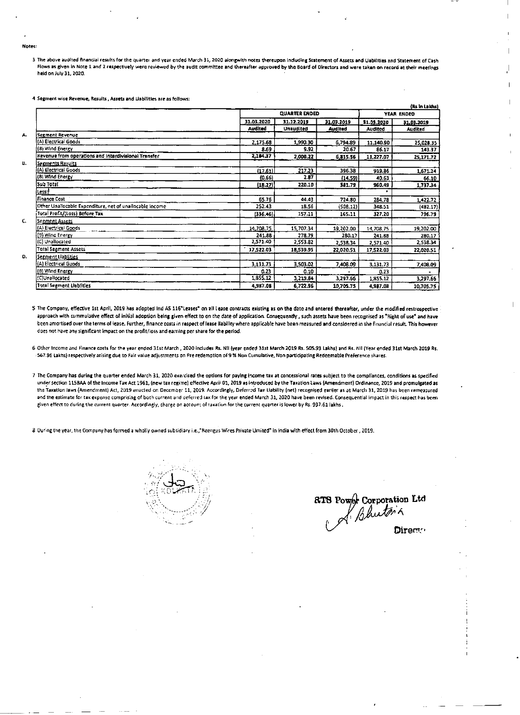$\sim 10^{-11}$ 

3 The above audited financial results for the quarter and year ended March 31, 2020 alongwith notes thereupon including Statement of Assets and Gabilities and Statement of Cash Flows as given in Note 1 and 2 respectively were reviewed by the audit committee and thereafter approved by the Board of Directors and were taken on record at their meetings held on July 31, 2020.

4 Segment wise Revenue, Results, Assets and Liabilities are as follows:

|                                                          |            | <b>QUARTER ENDED</b> |                | YEAR ENDED     |                |  |
|----------------------------------------------------------|------------|----------------------|----------------|----------------|----------------|--|
|                                                          | 31.03.2020 | 31.12.2019           | 31.03.2019     | 31.03.2020     | 31.03.2019     |  |
|                                                          | Audited    | <b>Unaudited</b>     | <b>Audited</b> | <b>Audited</b> | <b>Audited</b> |  |
| <b>Segment Revenue</b>                                   |            |                      |                |                |                |  |
| (A) Electrical Goods                                     | 2,175.68   | 1,990.30             | 6,794.89       | 11,140.90      | 25,028.35      |  |
| (8) Wind Energy                                          | 8.69       | 9.92                 | 20.67          | 86.17          | 143.37         |  |
| Revenue from operations and interdivisional Transfer     | 2,184.37   | 2,000.22             | 6,815.56       | 11,227.07      | 25,171.72      |  |
| <u>Segments Results</u>                                  |            |                      |                |                |                |  |
| (A) Electrical Goods                                     | (17.61)    | 217.23               | 396.38         | 919.86         | 1,671.24       |  |
| (B) Wind Energy                                          | (0.66)     | 2.87                 | (14.59)        | 40.63          | 66.10          |  |
| Sub Total                                                | (18.27)    | 220.10               | 381.79         | 960.49         | 1,737.34       |  |
| <u> Less: </u>                                           |            |                      |                |                |                |  |
| <b>Finance Cost</b>                                      | 65.76      | 44.43                | 724.80         | 284.78         | 1,422.72       |  |
| Other Unailocable Expenditure, net of unailocable Income | 252.43     | 18.56                | (508.12)       | 348.51         | (482.17)       |  |
| Total Profit/(Loss) Before Tax                           | (336.46)   | 157.11               | 165.11         | 327.20         | 796.79         |  |
| Se <u>gment Assets</u>                                   |            |                      |                |                |                |  |
| (A) Electrical Goods                                     | 14,708.75  | 15,707.34            | 19,202.00      | 14,708.75      | 19,202.00      |  |
| (9) Wind Energy                                          | 241.88     | 278.79               | 280.17         | 241.88         | 280.17         |  |
| (C) Unallocated                                          | 2,571.40   | 2,553.82             | 2,538.34       | 2,571.40       | 2,538.34       |  |
| Total Segment Assets                                     | 17,522.03  | 18,539.95            | 22,020.51      | 17,522.03      | 22,020.51      |  |
| <u>Segment Llabiries</u>                                 |            |                      |                |                |                |  |
| (A) Electrical Guods                                     | 3,131.73   | 3,503.02             | 7,408.09       | 3,131.73       | 7,408.09       |  |
| (8) Wind Energy                                          | 0.23       | 0.10                 |                | 0.23           |                |  |
| (C)Unallocated                                           | 1,855.12   | 3,219.84             | 3,297.66       | 1,855.12       | 3,297.66       |  |
| Total Segment Liablities                                 | 4,987.08   | 6,722.96             | 10,705.75      | 4,987.08       | 10,705.75      |  |

(Rs in Laides)

5 The Company, effective 1st April, 2019 has adopted Ind AS 116"Leases" on all Lease contracts existing as on the date and entered thereafter, under the modified restrospective approach with cummulative effect of initial adoption being given effect to on the date of application. Consequently, such assets have been recognised as "Right of use" and have been amortised over the terms of lease. Further, finance costs in respect of lease itability where applicable have been measured and considered in the financial result. This however does not have any significant impact on the profit/loss and earning per share for the period.

6 Other Income and Finance costs for the year ended 31st March, 2020 includes Rs. NII (year ended 31st March 2019 Rs. 505.93 Lakhs) and Rs. NII (Year ended 31st March 2019 Rs. -567.96 Lakhs) respectively arising due to Fair value adjustments on Pre redemption of 9 % Non Cumulative, Non participating Redeemable Preference shares.

7 The Company has during the quarter ended March 31, 2020 exercised the options for paying income tax at concessional rates subject to the compliances, conditions as specified under section 115BAA of the Income Tax Act 1961, (new tax regime) effective April 01, 2019 as introduced by the Taxation Laws (Amendment) Ordinance, 2019 and promulgated as the Taxation laws (Amendment) Act, 2019 enacted on December 11, 2019. Accordingly, Deferred Tax Liability (net) recognised earlier as at March 31, 2019 has been remeasured and the estimate for tax expense comprising of both current and deferred tax for the year ended March 31, 2020 have been revised. Consequential impact in this respect has been given effect to during the current quarter. Accordingly, charge on account of taxation for the current quarter is lower by Rs. 937.61 lakhs.

8 Ouring the year, the Company has formed a wholly owned subsidiary i.e.,"Reengus Wires Private Umited" in India with effect from 30th October, 2019.



8T8 Power Corporation Ltd

Directo

**Contract Contract** 

the contract of the contract of the contract of the contract of the contract of the contract of the

 $\mathcal{L}(\mathcal{L}(\mathcal{L}(\mathcal{L}(\mathcal{L}(\mathcal{L}(\mathcal{L}(\mathcal{L}(\mathcal{L}(\mathcal{L}(\mathcal{L}(\mathcal{L}(\mathcal{L}(\mathcal{L}(\mathcal{L}(\mathcal{L}(\mathcal{L}(\mathcal{L}(\mathcal{L}(\mathcal{L}(\mathcal{L}(\mathcal{L}(\mathcal{L}(\mathcal{L}(\mathcal{L}(\mathcal{L}(\mathcal{L}(\mathcal{L}(\mathcal{L}(\mathcal{L}(\mathcal{L}(\mathcal{L}(\mathcal{L}(\mathcal{L}(\mathcal{L}(\mathcal{L}(\mathcal{$ 

 $\mathcal{L}(\mathcal{L}(\mathcal{L}))$  and  $\mathcal{L}(\mathcal{L}(\mathcal{L}))$  . The contribution of the set of  $\mathcal{L}(\mathcal{L})$  $\mathcal{L}(\mathcal{L}(\mathcal{L}(\mathcal{L}(\mathcal{L}(\mathcal{L}(\mathcal{L}(\mathcal{L}(\mathcal{L}(\mathcal{L}(\mathcal{L}(\mathcal{L}(\mathcal{L}(\mathcal{L}(\mathcal{L}(\mathcal{L}(\mathcal{L}(\mathcal{L}(\mathcal{L}(\mathcal{L}(\mathcal{L}(\mathcal{L}(\mathcal{L}(\mathcal{L}(\mathcal{L}(\mathcal{L}(\mathcal{L}(\mathcal{L}(\mathcal{L}(\mathcal{L}(\mathcal{L}(\mathcal{L}(\mathcal{L}(\mathcal{L}(\mathcal{L}(\mathcal{L}(\mathcal{$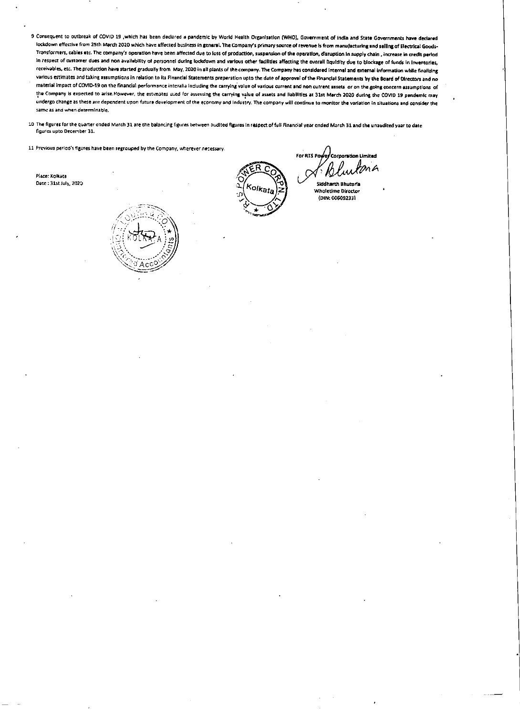- 9 Consequent to outbreak of COVID 19, which has been declared a pandemic by World Health Organisation (WHO), Government of India and State Governments have declared lockdown effective from 25th March 2020 which have affected business in general. The Company's primary source of revenue is from manufacturing and selling of Electrical Goods-Transformers, cables etc. The company's operation have been affected due to loss of production, suspension of the operation, disruption in supply chain, increase in credit period in respect of customer dues and non availability of personnel during lockdown and various other facilities affecting the overall fiquidity due to blockage of funds in Inventories, receivables, etc. The production have started gradually from May, 2020 in all plants of the company. The Company has considered Internal and external information while finalizing various estimates and taking assumptions in relation to its Financial Statements preperation upto the date of approval of the Financial Statements by the Board of Directors and no material impact of COVID-19 on the financial performance interalia including the carrying value of various current and non current assets or on the going concern assumptions of the Company is expected to arise. However, the estimates used for assessing the carrying value of assets and liabilities at 31st March 2020 during the COVID 19 pandemic may undergo change as these are dependent upon future development of the economy and industry. The company will continue to monitor the variation in situations and consider the same as and when determinable.
- 10 The figures for the quarter ended March 31 are the balancing figures between audited figures in respect of full Financial year ended March 31 and the unaudited year to date figures upto December 31.
- 11 Previous period's figures have been regrouped by the Company, wherever necessary.

 $\mathcal{L}(\mathcal{A})$  and  $\mathcal{L}(\mathcal{A})$ 

Place: Kolkata Date: 31st July, 2020



For RTS Pawey Corporation Limited

**Siddharth Bhutoria Wholetime Director** (DIN: 00609233)

 $\mathcal{L}^{\text{max}}_{\text{max}}$  . The  $\mathcal{L}^{\text{max}}_{\text{max}}$ 

the control of the control of the control of the control of the control of the control of

 $\mathcal{L}(\mathcal{L}(\mathcal{L}(\mathcal{L}(\mathcal{L}(\mathcal{L}(\mathcal{L}(\mathcal{L}(\mathcal{L}(\mathcal{L}(\mathcal{L}(\mathcal{L}(\mathcal{L}(\mathcal{L}(\mathcal{L}(\mathcal{L}(\mathcal{L}(\mathcal{L}(\mathcal{L}(\mathcal{L}(\mathcal{L}(\mathcal{L}(\mathcal{L}(\mathcal{L}(\mathcal{L}(\mathcal{L}(\mathcal{L}(\mathcal{L}(\mathcal{L}(\mathcal{L}(\mathcal{L}(\mathcal{L}(\mathcal{L}(\mathcal{L}(\mathcal{L}(\mathcal{L}(\mathcal{$ 

 $\mathcal{L}(\mathcal{L}(\mathcal{L}(\mathcal{L}(\mathcal{L}(\mathcal{L}(\mathcal{L}(\mathcal{L}(\mathcal{L}(\mathcal{L}(\mathcal{L}(\mathcal{L}(\mathcal{L}(\mathcal{L}(\mathcal{L}(\mathcal{L}(\mathcal{L}(\mathcal{L}(\mathcal{L}(\mathcal{L}(\mathcal{L}(\mathcal{L}(\mathcal{L}(\mathcal{L}(\mathcal{L}(\mathcal{L}(\mathcal{L}(\mathcal{L}(\mathcal{L}(\mathcal{L}(\mathcal{L}(\mathcal{L}(\mathcal{L}(\mathcal{L}(\mathcal{L}(\mathcal{L}(\mathcal{$ 

,我们就是一个人的事情,我们就是一个人的事情。""我们,我们就是我们的事情。""我们,我们就是我们的事情。""我们,我们就是我们的事情。""我们,我们的事情,<br>第159章 我们的事情,我们的事情,我们的事情,我们的事情,我们的事情,我们的事情,我们的事情,我们的事情,我们的事情,我们的事情,我们的事情,我们的事情,我们  $\mathcal{L}_\text{max}$  and the second contribution of the second contribution of the second contribution of the second contribution of the second contribution of the second contribution of the second contribution of the second con the control of the state of the control

 $\sim 100$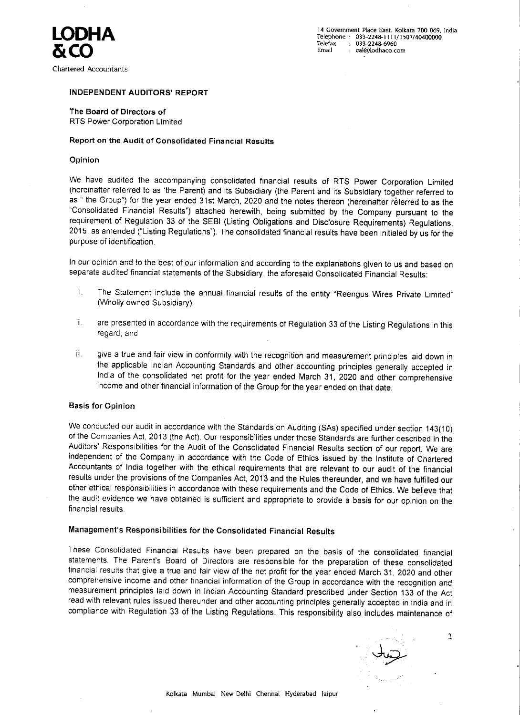# LODHA &CO

Chartered Accountants

INDEPENDENT AUDITORS' REPORT

The Board of Directors of RTS Power Corporation Limited

14 Government Place East. Kolkata 700 069, India Telephone : 033-2248-1111/1507/40400000 Telefax : 033-2248-6960 Email : cai@iodhaco.com

Report on the Audit of Consolidated Financial Results

Opinion

•

In our opinion and to the best of our information and according to the explanations given to us and based on separate audited financial statements of the Subsidiary, the aforesaid Consolidated Financial Results:

We have audited the accompanying consolidated financial results of RTS Power Corporation Limited (hereinafter referred to as 'the Parent) and its Subsidiary (the Parent and its Substdiary together referred to as "the Group") for the year ended 31st March, 2020 and the notes thereon (hereinafter referred to as the "Consolidated Financial Results") attached herewith, being submitted by the Company pursuant to the requirement of Regulation <sup>33</sup> of the SEBI (Listing Obligations and Disclosure Requirements) Regulations, 2015, as amended ("Listing Regulations"). The consolidated financial results have been initialed by us for the purpose of identification.

- i. The Statement include the annual financial results of the entity "Reengus Wires Private Limite (Wholly owned Subsidiary)
- ii. are presented in accordance with the requirements of Regulation 33 of the Listing Regulations in this regard; and
- iii. give a true and fair view in conformity with the recognition and measurement principles laid down in the appliceble Indian Accounting Standards and other accounting principles generally accepted in India of the consolidated net profit for the year ended March 31, <sup>2020</sup> and other comprehensive income and other financial information of the Group for the year ended on that date.

#### Basis for Opinion

We conducted our audit in accordance with the Standards on Auditing (SAs) specified under section 143(10) of the Companies Act, <sup>2013</sup> (the Act). Our responsibilities under those Standards are further described in the Auditors' Responsibilities for the Audit of the Consolidated Financial Results section of our report. We are independent of the Company in accordance with the Code of Ethics issued by the Institute of Chartered Accountants of India together with the ethical requirements that are relevant to our audit of the financial results under the provisions of the Companies Act, <sup>2013</sup> and the Rules thereunder. and we have fulfilled our other ethical responsibilities in accordance with these requirements and the Code of Ethics. We believe that the audit evidence we have obtained is sufficient and appropriate to provide <sup>a</sup> basis for our opinion on the financial results.

# Management's Responsibilities for the Consolidated Financial Results

These Consolidated Financial Results have been prepared on the basis of the consolidated financial statements. The Parent's Board of Directors are responsible for the preparation of these consolidated financial results that give <sup>a</sup> true and fair view of the net profit for the year ended March 31, <sup>2020</sup> and other comprehensive income and other financial information of the Group in accordance with the recognition and measurement principles laid down in Indian Accounting Standard prescribed under Section 133 of the Act read with relevant rules issued thereunder and other accounting principles generally accepted in India and in compliance with Regulation <sup>33</sup> of the Listing Regulations. This responsibility also includes maintenance of •

•



Kolkata Mumbai New Delhi Chennai Hyderabad Jaipur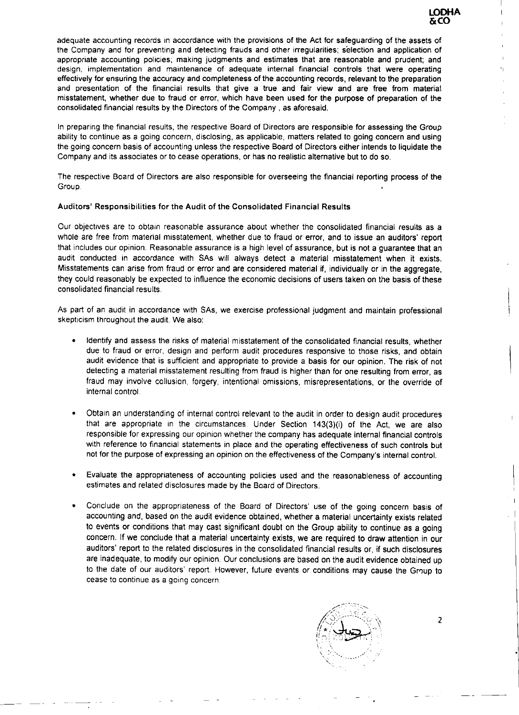### LODHA &CO

''

 $\mathbf{I}$ 

**H** 

adequate accounting records in accordance with the provisions of the Act for safeguarding of the assets of the Company and for preventinq and detecting frauds and other irregularities; selection and application of appropriate accounting policies; making judgments and estimates that are reasonable and prudent; and design, implementation and maintenance of adequate internal financial controls that were operating effectively for ensuring the accuracy and completeness of the accounting records. relevant to the preparation and presentation of the financial results that give <sup>a</sup> true and fair view and are free from material misstatement, whether due to fraud or error, which have been used for the purpose of preparation of the consolidated financial results by the Directors of the Company, as aforesaid.

The respective Board of Directors are also responsible for overseeing the financial reporting process of the Group. •

Our objectives are to obtain reasonable assurance about whether the consolidated financial results as <sup>a</sup> whole are free from material misstatement, whether due to fraud or error, and to issue an auditors' report that includes our opinion. Reasonable assurance is <sup>a</sup> high level of assurance, but is not <sup>a</sup> guarantee that an aucit conducted in accordance with SAs will always detect <sup>a</sup> material misstatement when it exists. Misstatements can arise from fraud or error and are considered material if, individually or in the aggregate,

In preparing the financial results, the respective Board of Directors are responsible for assessing the Group ability to continue as <sup>a</sup> going concern, disclosing, as applicable. matters related to going concern and using the going concern basis of accounting unless the respective Board of Directors either intends to liquidate the Company and its associates or to cease operations, or has no realistic alternative but to do so.

#### Auditors' Responsibilities for the Audit of the Consolidated Financial Results

they could reasonably be expected to influence the economic decisions of users taken on the basis of these consolidated financial results.

As part of an audit in accordance with SAs, we exercise professional judgment and maintain professional skepticism throughout the audit. We also:

- Identify and assess the risks of materiel misstatement of the consolidated financial results, whether due to fraud or error, design and perform audit procedures responsive to those risks, and obtain audit evidence that is sufficient and appropriate to provide <sup>a</sup> basis for our opinion. The risk of not detecting a material misstatement resulting from fraud is higher than for one resulting from error, as fraud may involve collusion, forgery, intentional omissions. misrepresentations, or the override of internal control.
- Obtain an understanding of internal control relevant to the audit in order to design audit procedures that are appropriate in the circumstances. Under Section 143(3)(i) of the Act, we are also responsible for expressing our opinion whether the company has adequate internal financial controls with reference to financial statements in place and the operating effectiveness of such controls but not for the purpose of expressing an opinion on the effectveness of the Company's internal control.
- Evaluate the appropriateness of accounting policies used and the reasonableness of accounting estimates and related disclosures made by the Board of Directors.
- Conclude on the appropriateness of the Board of Directors· use of the going concern basis of accounting and, based on the audit evidence obtained, whether <sup>a</sup> material uncertainty exists related to events or conditions that may cast significant doubt on the Group ability to continue as <sup>a</sup> going concern. If we conclude that <sup>a</sup> material uncertainty exists. we are required to draw attention in our auditors' report to the related disclosures in the consolidated financial results or, if such disclosures

are inadequate, to modify our opinion. Our conclusions are based on the audit evidence obtained up to the date of our auditors' report. However, future events or conditions may cause the Group to cease to continue as <sup>a</sup> going concern.

..

 $\mathcal{L}^{(1)}$ 

-·· ·-



- -

•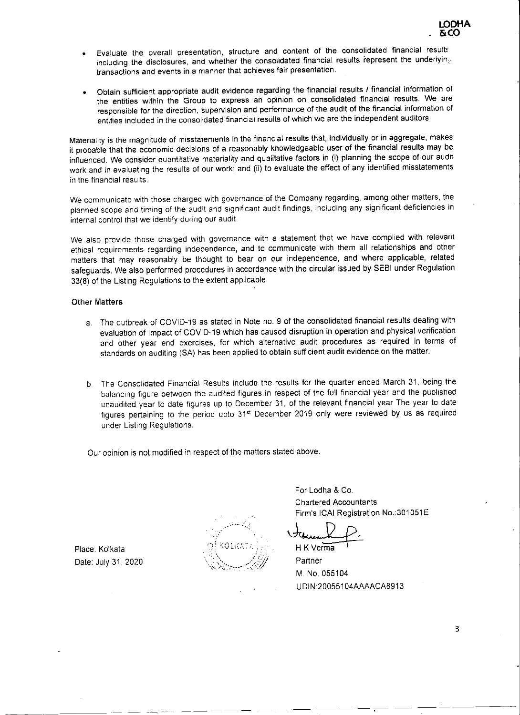- Evaluate the overall presentation, structure and content of the consolidated financial results including the disclosures, and whether the consolidated financial results represent the underlyin $_{\odot}$ transactions and events in <sup>a</sup> manner that achieves fair presentation.
- Obtain sufficient appropriate audit evidence regarding the financial results / financial information of the entities within the Group to express an opinion on consolidated financial results. We are responsible for the direction, supervision and performance of the audit of the financial information of entities included in the consolidated financial results of which we are the independent auditors

We also provide those charged with governance with <sup>a</sup> statement that we have complied with relevant ethical requirements regarding independence, and to communicate with them all relationships and other matters that may reasonably be thought to bear on our independence. and where applicable, related safeguards. We also performed procedures in accordance with the circular issued by SEBI under Regulation

Materiality is the magnitude of misstatements in the financiai results that, individually or in aggregate, makes it probable that the economic decisions of <sup>a</sup> reasonably knowledgeable user of the financial results may be influenced. We consider quantitative materiality and qualitative factors in (i) planning the scope of our audit work and in evaluating the results of our work: and (ii) to evaluate the effect of any identified misstatements in the financial results.

We communicate with those charged with governance of the Company regarding, among other matters, the planned scope and timing of the audit and significant audit findings, including any significant deficiencies in internal control that we identify during our audit.

> For Lodha & Co. Chartered Accountants Firm's ICAI Registration No.: 301051E

Verma

33(8) of the Listing Regulations to the extent applicable.

#### Other Matters

- a. The outbreak of COVID-19 as stated in Note no. <sup>9</sup> of the consolidated financial results dealing with evaluation of Impact of COVID-19 which has caused disruption in operation and physical verification and other year end exercises, for which alternative audit procedures as required in terms of standards on auditing (SA) has been applied to obtain sufficient audit evidence on the matter.
- b. The Consolidated Financial Results include the results for the quarter ended March 31, being the balancing figure between the audited figures in respect of the full financial year and the published unaudited year to date figures up to December 31, of the relevant financial year The year to date figures pertaining to the period upto 31<sup>st</sup> December 2019 only were reviewed by us as required under Listing Regulations.

Our opinion is not modified in respect of the matters stated above.



Place: Kolkata

Date: July 31, 2020

Partner

M. No. 055104

UDIN:20055104AAAACA8913

3

•

---- -------- ·- <sup>&</sup>lt; -·« --· -·-·- - -- -- --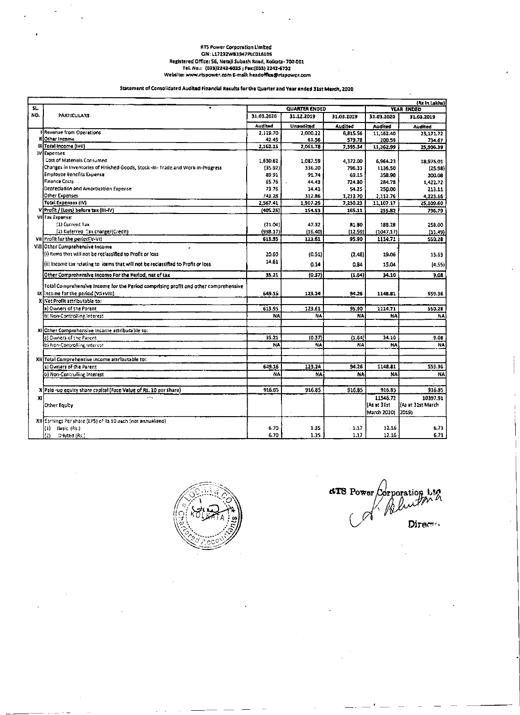#### **RTS Power Corporation Limited** CIN: L17232WB1947PLC016105 Registered Office: 56, Netaji Subash Road, Kolkata- 700 001 Tel. No.: (033)2242-6025; Fax:(033) 2242-6732 Website: www.rtspower.com E-mail: headoffice@rtspower.com

 $\bullet$ 

 $\bullet$ 

#### Statement of Consolidated Audited Financial Results for the Quarter and Year ended 31st March, 2020

|     |                                                                                     |            |                      |            |             | (Rs in Lakhs)      |
|-----|-------------------------------------------------------------------------------------|------------|----------------------|------------|-------------|--------------------|
| SL. |                                                                                     |            | <b>QUARTER ENDED</b> |            |             | YEAR ENDED         |
| NO. | <b>PARTICULARS</b>                                                                  | 31.03.2020 | 31.12.2019           | 31.03.2019 | 31.03.2020  | 31.03.2019         |
|     |                                                                                     | Audited    | <b>Unaudited</b>     | Audited    | Audited     | <b>Audited</b>     |
|     | <b>Il Revenue from Operations</b>                                                   | 2,119.70   | 2,000.22             | 6,815.56   | 11,162.40   | 25,171.72          |
|     | If Other Income                                                                     | 42.45      | 61.56                | 579.78     | 200.59      | 734.67             |
|     | $   $ Total Income $( +1\rangle)$                                                   | 2,162.15   | 2,061.78             | 7,395.34   | 11,362.99   | 25,906.39          |
|     | <b>IV</b> Expenses                                                                  |            |                      |            |             |                    |
|     | Cost of Materials Consumed                                                          | 1,630.62   | 1,087.59             | 4,372.00   | 6,964.23    | 18,976.01          |
|     | [Changes in Inventories of Finished Goods, Stock -In- Trade and Work-in-Progress    | (35.92)    | 336.20               | 796.33     | 1136.50     | (25.98)            |
|     | <b>Employee Benefits Expense</b>                                                    | 89.91      | 91.74                | 69.15      | 358.90      | 300.08             |
|     | Finance Costs -                                                                     | 65.76      | 44.43                | 724.80     | 284.78      | 1,422.72           |
|     | Depredation and Amortization Expense                                                | 73.76      | 34.43                | 54.25      | 250.00      | 213.11             |
|     | Other Expenses                                                                      | 743.28     | 312.86               | 1,213.70   | 2,112.76    | 4,223.66           |
|     | Total Expenses (IV)                                                                 | 2,567.41   | 1,907.25             | 7,230.23   | 11,107.17   | 25,109.60          |
|     | V Profit / (Loss) before tax (III-IV)                                               | (405.26)   | 154.53               | 165.11     | 255.82      | 796.79             |
|     | VII Tax Expenset                                                                    |            |                      |            |             |                    |
|     | (1) Current Tax                                                                     | (21.04)    | 47,32                | 81.80      | 188.28      | 258.00             |
|     | (2) Deferred Tax charge/(Credit)                                                    | (998.17)   | (15.40)              | [12.59]    | (1047.17)   | (11.49)            |
|     | VII Profit for the period(V-VI)                                                     | 613.95     | 123.61               | 95.90      | 1114.71     | 550.28             |
|     | Vill Other Comprehensive Income                                                     |            |                      |            |             |                    |
|     | (i) items that will not be reclassified to Profit or loss.                          | 20.60      | (0.51)               | (2.48)     | 19.06       | 13.63              |
|     | (ii) Income tax relating to items that will not be reclassified to Profit or loss   | 14.61      | 0.14                 | 0.84       | 15.04       | (4.55)             |
|     | Other Comprehensive Income For the Pariod, net of tax                               | 35.21      | (0.37)               | (1.64)     | 34.10       | 9.08               |
|     | Total Comprehensive Income for the Period comprising profit and other comprehensive |            |                      |            |             |                    |
|     | IX Income for the period (VII+VIII).                                                | 649.16     | 123.24               | 94.26      | 1148.81     | 559.36             |
|     | X iNet Profit attributable to:-                                                     |            |                      |            |             |                    |
|     | la) Owners of the Parent.                                                           | 613.95     | 123.61               | 95.90      | 1114.71     | \$50.28            |
|     | b) Non-Controlling Interest                                                         | NA         | NA                   | NA         | NA          | <b>NA</b>          |
|     |                                                                                     |            |                      |            |             |                    |
|     | XI Other Comprohensive Income attributable to:                                      |            |                      |            |             |                    |
|     | la) Owners of the Parent                                                            | 35.21      | (0.37)               | (1.64)     | 34.10       | 9.08               |
|     | ib) Non-Controlling Interest.                                                       | NA         | NA.                  | NA         | <b>NA</b>   | NA                 |
|     |                                                                                     |            |                      |            |             |                    |
|     | XII Total Comprehensive Income attributable to:                                     |            |                      |            |             |                    |
|     | [a] Owners of the Parent.                                                           | 649.16     | 123.24               | 94.26      | 1148.81     | 559.36             |
|     | (b) Non-Controlling Interest                                                        | <b>NA</b>  | NA                   | <b>NAI</b> | <b>NA</b>   | NA                 |
|     |                                                                                     |            |                      |            |             |                    |
|     | X Paid-up equity share capital (Face Value of Rs. 10 per share)                     | 916.85     | 916.85               | 916.85     | 916.85      | 916.85             |
| x   | $\sigma^2 \propto$                                                                  |            |                      |            | 11546.72    | 10397.91           |
|     | Other Equity                                                                        |            |                      |            | (As at 31st | (As at 31st March) |
|     |                                                                                     |            |                      |            | March 2020) | 2019)              |
|     | XII Earnings Per share (EPS) of Rs 10 each (not annualised)                         |            |                      |            |             |                    |
|     | $\bf{D}$<br>Basic (Rs.)                                                             | 6.70       | 1.35                 | . 1.17     | 12.16       | 6.71               |
|     | (2)<br>$D$ luted $(Rs.)$                                                            | 6.70       | 1.35                 | 1.17       | 12.16       | 6.71               |
|     |                                                                                     |            |                      |            |             |                    |



**ATS** Power Corporation Ltd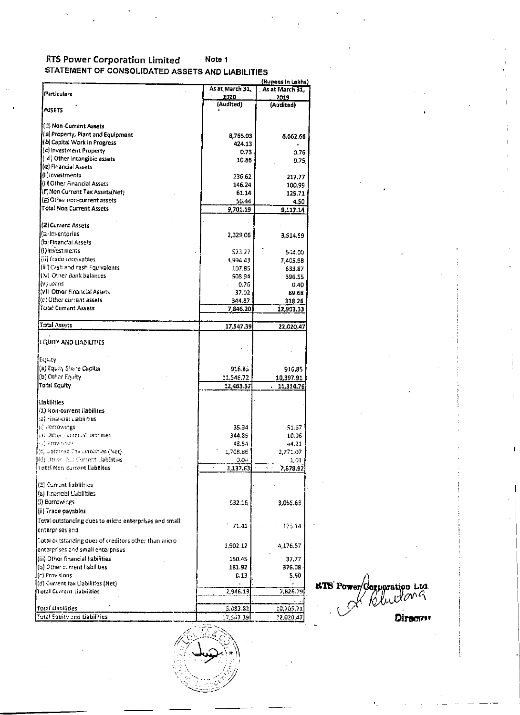#### **RTS Power Corporation Limited** Note 1 STATEMENT OF CONSOLIDATED ASSETS AND LIABILITIES

 $\blacksquare$ 

 $\sim 10^{-1}$ 

|                                                          |                  | (Rupees in Lakhs) |
|----------------------------------------------------------|------------------|-------------------|
| Particulars                                              | As at March 31,  | As at March 31,   |
|                                                          | 2020             | 2019              |
| <b>ASSETS</b>                                            | (Audited)        | (Audited)         |
|                                                          |                  |                   |
| ( 1) Non-Current Assets                                  |                  |                   |
| (a) Property, Plant and Equipment                        | 8,765.03         | 8,662.66          |
| (b) Capital Work in Progress                             | 424.13           |                   |
| (c) investment Property                                  | 0.73             | 0.76              |
| d) Other Intangible assets                               | 10.86            | 0.75              |
| (e) Financial Assets                                     |                  |                   |
| (L) investments                                          | 236.62           | 217.77            |
| (ii) Other Financial Assets                              | 146.24           | 100.99            |
| (f) Non Current Tax Assets(Net)                          | 61.14            | 129.71            |
| (@Other non-current assets)                              | 56.44            | 4.50              |
| Total Non Current Assets                                 | 9,701.19         | 9,117.14          |
|                                                          |                  |                   |
| (2) Current Assets                                       |                  |                   |
| (a)Inventories                                           | 2,329.06         | 3,514.59          |
| (b) Financial Assets                                     |                  |                   |
| (!) investments                                          | 523.27           | 544.00            |
| ((ii) frade receivables                                  | 3,994.43         | 7,405.98          |
| (iii) Cash and cash Equivalents                          | 107.85           | 633.87            |
| ((v) Other Bank balances                                 | 508.94           | 396.55            |
| anao. (V).                                               | 0.76             | 0.40              |
| (vI) Other Financial Assets                              | 37.02            | 89.68             |
| $(c)$ Other current assets                               | 344.87           | 318.26            |
| Tota! Current Assets                                     | 7,846.20         | 12,903.33         |
| <b>Total Assets</b>                                      |                  |                   |
|                                                          | 17,547.39        | 22.020.47         |
| LQUITY AND LIABILITIES                                   |                  |                   |
|                                                          |                  |                   |
| Eucity                                                   |                  |                   |
| [(a) Equity Share Capital                                | 916.85           | 916.85            |
| (b) Other Equity                                         | 11,546.72        | 10,397.91         |
| Total Equity                                             | 12,463.57        | 11,314.76         |
| <b>Liabilities</b>                                       |                  |                   |
| $(1)$ Non-current liabilites                             |                  |                   |
| (:a) rinaricial Llabilities                              |                  |                   |
| [i] sorrowings.                                          | 35.34            | 51.67             |
| 指FOther Financial fabilities                             | 344.85           | 10.96             |
| ни) йгомічаль                                            | 48.54            | 44.21             |
| $\{ \langle c \rangle \}$ beformed Tex manifities (Net). | 1,708.86         |                   |
| (d) Other Run Current Gabilities                         |                  | 2,771.07          |
| Rotzi Non-current liabilites                             | 0.04<br>2,137.63 | 1.01<br>2,878.92  |
|                                                          |                  |                   |
| (2) Current liabilities                                  |                  |                   |
| (a) Financial Liabilities                                |                  |                   |
| [(i) Borrowings                                          | 532.16           | 3,055.63          |
| l(ii) Trade payables                                     |                  |                   |
|                                                          |                  |                   |
| Total outstanding dues to micro enterprises and small    | 71.41            | 175.14            |
| lenterprises and                                         |                  |                   |
| Total outstanding dues of creditors other than micro-    |                  |                   |
|                                                          | 1,902.12         | 4,176.57          |

 $\sim$ 

 $\sim$ 

 $\sim$ 

 $\sim 10^{-11}$ 

 $1 - 1$ 

 $\mathbf{r}$ 

| Total Equity and Liabilities.                                                        | 17,547.39 | 22,020.47  | <b>Director</b>                   |
|--------------------------------------------------------------------------------------|-----------|------------|-----------------------------------|
| <b>Motal Liabilities</b>                                                             | 5,083.82  | 10,705.71] |                                   |
|                                                                                      |           |            | 12 ruetara                        |
| Hotal Current Liabilities                                                            | 2,946.19  | 7,826.79   | <b>HTS</b> Power/Corporation Ltd. |
| $\left  \left\langle \mathrm{d}\right\rangle \right.$ Current tax Liabilities (Net). |           |            |                                   |
| $\mathbf{I}(\mathsf{c})$ Provisions $\mathbf{I}$                                     | 8.13      | 5.60       |                                   |
| [(b) Other current liabilities                                                       | 181.92    | 376.08     |                                   |
| ((iii) Other financial liabilities                                                   | 150.45    | 37,77      |                                   |
| יכאנות ומוזים וושווים מיוש ביותרו ומיוויוס                                           |           |            |                                   |

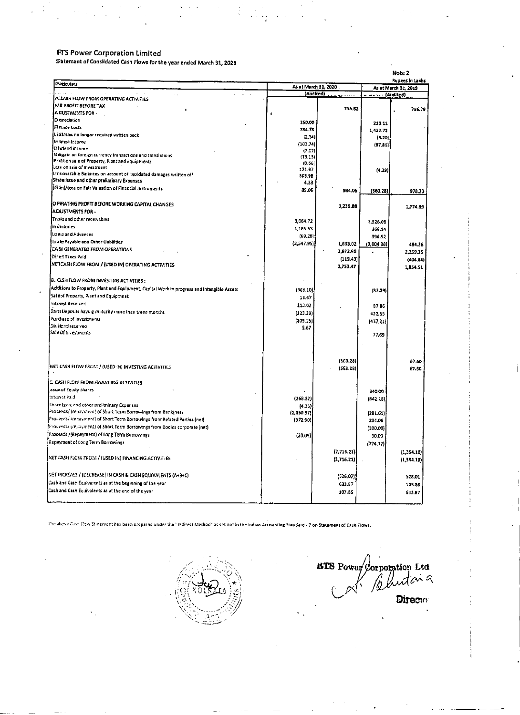### **FITS Power Corporation Limited**

 $\mathcal{F} \subset \mathcal{F}$ 

 $\bullet$ 

 $\mathcal{L}$ 

Satement of Consildated Cash Flows for the year ended March 31, 2020

 $\sim$   $\star$ 

 $\mathcal{L}_{\mathcal{A}}$ 

 $\mathcal{H}^{\pm}$  ,  $\mathcal{H}^{\pm}$  ,  $\mathcal{H}^{\pm}$ 

 $\mathcal{L}^{\text{max}}_{\text{max}}$  and  $\mathcal{L}^{\text{max}}_{\text{max}}$ 

 $\sim$ 

 $\mathcal{A}=\mathcal{A}+\mathcal{A}$  is

#### Note 2

٠

л.

 $\sim$ 

 $\epsilon$ 

| Paticulars                                                                                          | As at March 31, 2020 |                          |            | As at March 31, 2019     |
|-----------------------------------------------------------------------------------------------------|----------------------|--------------------------|------------|--------------------------|
| $\ddot{\phantom{0}}$                                                                                | (Audited)            |                          |            |                          |
| A LASH FLOW FROM OPERATING ACTIVITIES                                                               |                      |                          |            |                          |
| IN 8 PROFIT BEFORE TAX                                                                              |                      | 255.82                   |            | 756.79                   |
| IA IUSTMENTS FOR -                                                                                  |                      |                          |            |                          |
| [Dereclation]                                                                                       | 250.00               |                          | 213.11     |                          |
| Finnce Costs                                                                                        | 284.78               |                          |            |                          |
| Liatilities no longer required written back                                                         | (2.34)               |                          | 1,422.72   |                          |
| in trest income.                                                                                    |                      |                          | (5.20)     |                          |
| Divoend income.                                                                                     | (102.74)<br>(7.17)   |                          | (87.86)    |                          |
| $N$ eigain on foreign currency transactions and translations.                                       | (19, 15)             |                          |            |                          |
| Profit on sale of Property, Plant and Equipments                                                    | (0.66)               |                          |            |                          |
| LOS on sale of investment                                                                           | 121.97               |                          | (4.29)     |                          |
| $\{$ inner overable Balances on account of it quidated damages written of $f$                       | 365.98               |                          |            |                          |
| Shae issue and other preliminary Expenses                                                           | 4.33                 |                          |            |                          |
| (Gari)/Loss on Fair Valuation of Financial Instruments                                              | 89.06                | 984.06                   | (560, 28)  | 978.20                   |
| IO PIRATING PROFIT BEFORE WORKING CAPITAL CHANGES                                                   |                      | 1,239.88                 |            | 1,774.99                 |
| <b>IADUSTMENTS FOR -</b>                                                                            |                      |                          |            |                          |
| Trafe and other receivables                                                                         | 3,064.72             |                          |            |                          |
| In vantories                                                                                        |                      |                          | 3,526.08   |                          |
| Loais and Advances                                                                                  | 1,185.53             |                          | 366.14     |                          |
| Trate Payable and Other (Jabilities)                                                                | (69.28)              |                          | 396.52     |                          |
| CASI GENERATED FROM OPERATIONS                                                                      | (2,547.95)           | 1,633.02                 | (3,804.38) | 484.36                   |
| $\overline{\phantom{a}}$                                                                            |                      | 2,872.90                 | -          | 2,259.35                 |
| Direct Taxes Paid                                                                                   |                      | (119.43)                 |            | (404.84)                 |
| INETCASH FLOW FROM / (USED IN) OPERATING ACTIVITIES                                                 |                      | 2,753.47                 |            | 1,854.51                 |
| <b>B. CLSH FLOW FROM INVESTING ACTIVITIES:</b>                                                      |                      |                          |            |                          |
| Additions to Property, Plant and Equipment, Capital Work in progress and Intangible Assets          | (36d.10))            |                          | (83.29)    |                          |
| Safeof Property, Plant and Equipmnet                                                                | 18.67                |                          |            |                          |
| Interest Received                                                                                   | 113.02               |                          | 87.85      |                          |
| Sant Deposits having maturity more than three months.                                               | (123.39)             |                          |            |                          |
| Purchase of investments.                                                                            |                      |                          | 422.55     |                          |
| !Dividend received :                                                                                | (209.15)             |                          | (437.21)   |                          |
| Sale Of Investments                                                                                 | \$,67                |                          |            |                          |
|                                                                                                     |                      |                          | 77.69      |                          |
|                                                                                                     |                      |                          |            |                          |
| INET CASH FLOW FROM / (USED IN) INVESTING ACTIVITIES                                                |                      | (563.28)                 |            | 67.60                    |
|                                                                                                     |                      | (563.28)                 |            | 67.60                    |
| <b>CASH FLOW FROM FINANCING ACTIVITIES</b>                                                          |                      |                          |            |                          |
| issue of Equity Shares.                                                                             |                      |                          | 340.00     |                          |
| Interest Pald                                                                                       | (268.32)             |                          | (842.18)   |                          |
| Share issue and other preliminary Expenses.                                                         | (4.33)               |                          |            |                          |
| $[ြ\epsilonဝင်ကမ်း\epsilon/ (repsyment) of Short Term Borrowings from Bank(net) .$                  | (2,050.57)]          |                          | (281.61)   |                          |
| $\left\{ \mathsf{Process}\right\}$ (repayment) of Short Term Borrowings from Related Parties (net). | (372.50)             |                          | 234.06     |                          |
| Proceeds/ (repayment) of Short Term Borrowings from Bodies corporate (net)                          |                      |                          | (100, 00)  |                          |
| [Froceeds / (Repayment) of tong Term Borrowings                                                     | (20.09)              |                          | 30.00      |                          |
| Repayment of Long Term Borrowings                                                                   |                      |                          | (774.37)   |                          |
| INET CASH FLOW FROM / (USED IN) FINANCING ACTIVITIES                                                |                      | (2,716.21)<br>(2,716.21) |            | [1,354,10]<br>(1,394.10) |
|                                                                                                     |                      |                          |            |                          |
| $[NET$ INCREASE / (DECREASE) IN CASH & CASH EQUIVALENTS $(A+BAC)$                                   |                      | (526.02)                 |            | 528.01                   |
| Cash and Cash Equivalents as at the beginning of the year.                                          |                      | 633.87                   |            | 105.86                   |
| [Cash and Cash Equivalents as at the end of the year                                                |                      | 107.85                   |            | 633.87                   |
|                                                                                                     |                      |                          |            |                          |

The above Cash Flow Statement has been prepared under the "Indirect Method" as set out in the Indian Accounting Standard - 7 on Statement of Cash Flows.



BIB Power Corporation Ltd<br>Cal Bludana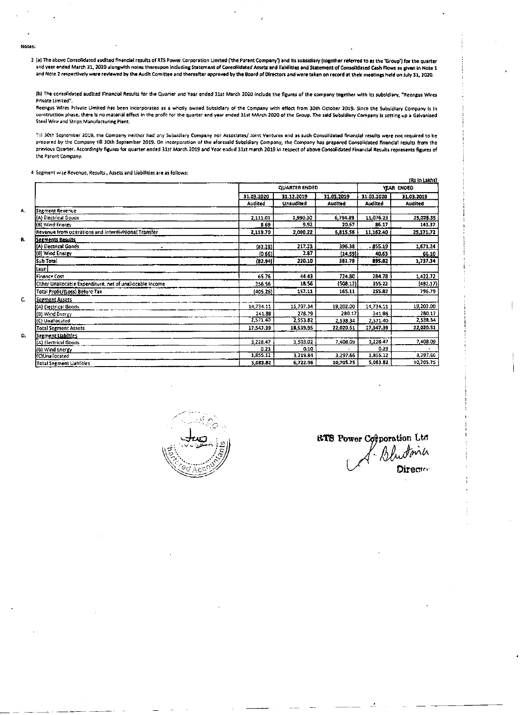.

3 (a) The above Consolidated audited financial results of RTS Power Corporation Limited ('the Parent Company') and its subsidiary (together referred to as the 'Group') for the quarter and year ended March 31, 2020 alongwith notes thereupon including Statement of Consolidated Assets and liabilities and Statement of Consolidated Cash Flows as given in Note 1 and Note 2 respectively were reviewed by the Audit Comittee and thereafter approved by the Board of Directors and were taken on record at their meetings held on July 31, 2020.

(b) The consolidated audited Financial Results for the Quarter and Year ended 31st March 2020 include the figures of the company together with its subsidiary, "Reengus Wires Private Limited".

Reengus Wires Private Limited has been incorporated as a wholly owned Subsidlary of the Company with effect from 30th October 2019. Since the Subsidiary Company is in construction phase, there is no material effect in the profit for the quarter and year ended 31st MArch 2020 of the Group. The said Subsidiary Company is setting up a Galvanised Steel Wire and Strips Manufacturing Plant.

Till 30th September 2019, the Company neither had any Subsidiary Company nor Associates/ Joint Ventures and as such Consolidated financial results were not required to be prepared by the Company till 30th September 2019. On incorporation of the aforesaid Subsidiary Company, the Company has prepared Consolidated financial results from the previous Quarter. Accordingly figures for quarter ended 31st March 2019 and Year ended 31st march 2019 in respect of above Consolidated Financial Results represents figures of the Parent Company.

4 Segment wise Revenue, Results, Assets and Liabilities are as follows:

| (Rs in Lakhs)                                            |            |                      |            |                |                |  |  |
|----------------------------------------------------------|------------|----------------------|------------|----------------|----------------|--|--|
|                                                          |            | <b>QUARTER ENDED</b> |            |                |                |  |  |
|                                                          | 31.03,2020 | 31.12.2019           | 31.03.2019 | 31.03.2020     | 31.03.2019     |  |  |
|                                                          | Audited    | Unaudited            | Audited    | <b>Audited</b> | <b>Audited</b> |  |  |
| Segment Revenue                                          |            |                      |            |                |                |  |  |
| (A) Electrical Goods.                                    | 2,111.01   | 1,990.30             | 6,794.89   | 11,076.23      | 25,028.35      |  |  |
| (6) Wind Energy                                          | 8.69       | 9.92                 | 20.67      | 86,17          | 143.37         |  |  |
| Revenue from operations and Interdivisional Transfer     | 2,119.70   | 2,000.22             | 6,815.56   | 11,162.40      | 25,171.72      |  |  |
| Segments Results                                         |            |                      |            |                |                |  |  |
| (A) Electrical Goods                                     | (82, 28)   | 217.23               | 396.33     | .855.19        | 1,671.24       |  |  |
| (B) Wind Energy                                          | (0.66)     | 2.87                 | (14.59)    | 40.63          | 66.10          |  |  |
| Sub Total                                                | (82.94)    | 220.10               | 381.79     | 895.82         | 1,737.34       |  |  |
| Les:                                                     |            |                      |            |                |                |  |  |
| <b>Finance Cost</b>                                      | 65.76      | 44.43                | 724.80     | 284.78         | 1,422.72       |  |  |
| Other Unallocable Expenditure, net of unallocable Income | 256.56     | 18.56                | (508.12)   | 355.22         | (482.17)       |  |  |
| Total Profit/(Loss) Before Tax                           | (405.26)   | 157.11               | 165.11     | 255.82         | 796.79         |  |  |
| <u>Segment Assets </u>                                   |            |                      |            |                |                |  |  |
| (A) Electrical Goods                                     | 14,734.11  | 15,707.34            | 19,202.00  | 14,734.11      | 19,202.00      |  |  |
| (B) Wind Energy                                          | 241.88     | 278.79               | 280.17     | 241.88         | 280.17         |  |  |
| (C) Unatlocated                                          | 2,571.40   | 2,553.82             | 2,538.34   | 2,571.40       | 2,538.34       |  |  |
| Total Segment Assets                                     | 17,547.39  | 18,539.95            | 22,020.51  | 17,547.39      | 22,020.51      |  |  |
| Segment Liabilities                                      |            |                      |            |                |                |  |  |
| (A) Electrical Goods                                     | 3,228.47   | 3,503.02             | 7,408.09   | 3,228.47       | 7,408.09       |  |  |
| (8) Wind Energy                                          | 0.23       | 0.10                 |            | 0.23           |                |  |  |
| (C)Unailocated                                           | 1,855.12   | 3,219.84             | 3,297.66   | 1,855.12       | 3,297.66       |  |  |
| Total Segment Liablities                                 | 5,083.82   | 6,722.96             | 10,705.75  | 5,083.62       | 10,705.75      |  |  |



the contract of the contract of the contract of the contract of the contract of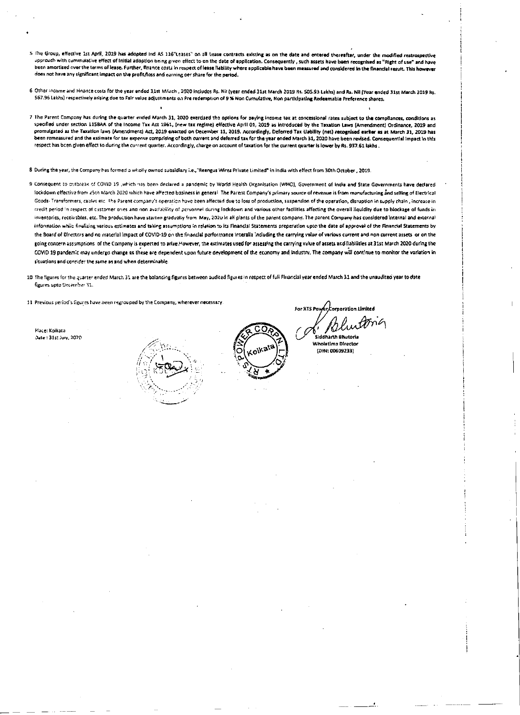5 The Group, effective 1st April, 2019 has adopted ind AS 116"Leases" on all lease contracts existing as on the date and entered thereafter, under the modified restrospective approach with cummulative effect of Initial adoption being given effect to on the date of application. Consequently, such assets have been recognised as "Right of use" and have been amortised over the terms of lease. Further, finance costs in respect of lease liability where applicable have been measured and considered in the financial result. This however does not have any significant impact on the profit/loss and earning oer share for the period.

6 Other income and Finance costs for the year ended 31st MArch , 2020 includes Rs. Nil (year ended 31st March 2019 Rs. 505.93 Lakhs) and Rs. Nil (Year ended 31st March 2019 Rs. 567.96 Lakhs) respectively arising due to Fair value adjustments on Pre redemption of 9 % Non Cumulative, Non participating Redeemable Preference shares.

7 The Parent Company has during the quarter ended March 31, 2020 exerdsed the options for paying income tax at concessional rates subject to the compliances, conditions as specified under section 115BAA of the Income Tex Act 1961, (new tax regime) effective April 01, 2019 as introduced by the Taxation Laws (Amendment) Ordinance, 2019 and promulgated as the Taxation laws (Amendment) Act, 2019 enacted on December 11, 2019. Accordingly, Deferred Tax Uability (net) recognised earlier as at March 31, 2019 has been remeasured and the estimate for tax expense comprising of both current and deferred tax for the year ended March 31, 2020 have been revised. Consequential impact in this respect has been given effect to during the current quarter. Accordingly, charge on account of taxation for the current quarter is lower by Rs. 937.61 lakhs.

8 During the year, the Company has formed a wholly owned subsidiary i.e., "Reengus Wires Private Limited" in India with effect from 30th October, 2019.

9 Consequent to outbreak of COVID 19 , which has been declared a pandemic by World Health Organisation (WHO), Government of India and State Governments have declared lockdown effective from 25th March 2020 which have affected bosiness in general. The Parent Company's primary source of revenue is from manufacturing and selling of Electrical Goods- Transformers, cables etc. The Parent company's operation have been affected due to loss of production, suspension of the operation, disruption in supply chain, increase in credit period in respect of customer ones and non availability of personnel during lockdown and various other facilities affecting the overall liquidity due to blockage of funds in inventories, receivables, etc. The production have started gradually from May, 2020 in all plants of the parent company. The parent Company has considered internal and external information while finalizing various estimates and taking assumptions in relation to its Financial Statements preperation upto the date of approval of the Financial Statements by the Board of Directors and no material impact of COVID-19 on the financial performance interalla including the carrying value of various current and non current assets or on the going concern assumptions of the Company is expected to arlie. However, the estimates used for assessing the carrying value of assets and liabilities at 31st March 2020 during the COVID 19 pandemic may undergo change as these are dependent upon future development of the economy and industry. The company will continue to monitor the variation in situations and consider the same as and when determinable.

10 The figures for the quarter ended March 31 are the balancing figures between audited figures in respect of full Flixancial year ended March 31 and the unaudited year to date figures upto December 31.

11 Previous period's figures have been regrouped by the Company, wherever necessary.

Place: Kołkata Date : 31st July, 2020



Siddharth Bhutoria **Wholetime Director** 

For RTS Power Corporation Limited

(DIN: 00609233)

the contract of the contract of the contract of the contract of the contract of